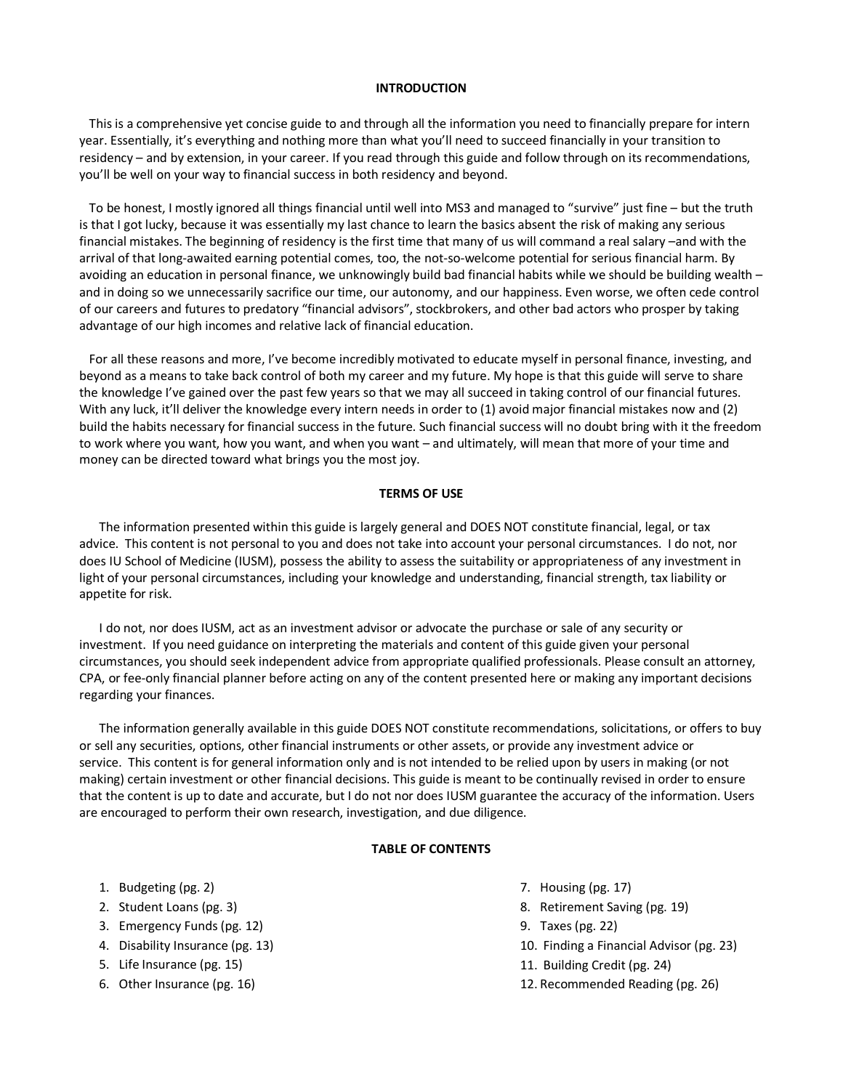#### **INTRODUCTION**

This is a comprehensive yet concise guide to and through all the information you need to financially prepare for intern year. Essentially, it's everything and nothing more than what you'll need to succeed financially in your transition to residency – and by extension, in your career. If you read through this guide and follow through on its recommendations, you'll be well on your way to financial success in both residency and beyond.

To be honest, I mostly ignored all things financial until well into MS3 and managed to "survive" just fine – but the truth is that I got lucky, because it was essentially my last chance to learn the basics absent the risk of making any serious financial mistakes. The beginning of residency is the first time that many of us will command a real salary –and with the arrival of that long-awaited earning potential comes, too, the not-so-welcome potential for serious financial harm. By avoiding an education in personal finance, we unknowingly build bad financial habits while we should be building wealth – and in doing so we unnecessarily sacrifice our time, our autonomy, and our happiness. Even worse, we often cede control of our careers and futures to predatory "financial advisors", stockbrokers, and other bad actors who prosper by taking advantage of our high incomes and relative lack of financial education.

For all these reasons and more, I've become incredibly motivated to educate myself in personal finance, investing, and beyond as a means to take back control of both my career and my future. My hope is that this guide will serve to share the knowledge I've gained over the past few years so that we may all succeed in taking control of our financial futures. With any luck, it'll deliver the knowledge every intern needs in order to (1) avoid major financial mistakes now and (2) build the habits necessary for financial success in the future. Such financial success will no doubt bring with it the freedom to work where you want, how you want, and when you want – and ultimately, will mean that more of your time and money can be directed toward what brings you the most joy.

#### **TERMS OF USE**

The information presented within this guide is largely general and DOES NOT constitute financial, legal, or tax advice. This content is not personal to you and does not take into account your personal circumstances. I do not, nor does IU School of Medicine (IUSM), possess the ability to assess the suitability or appropriateness of any investment in light of your personal circumstances, including your knowledge and understanding, financial strength, tax liability or appetite for risk.

I do not, nor does IUSM, act as an investment advisor or advocate the purchase or sale of any security or investment. If you need guidance on interpreting the materials and content of this guide given your personal circumstances, you should seek independent advice from appropriate qualified professionals. Please consult an attorney, CPA, or fee-only financial planner before acting on any of the content presented here or making any important decisions regarding your finances.

The information generally available in this guide DOES NOT constitute recommendations, solicitations, or offers to buy or sell any securities, options, other financial instruments or other assets, or provide any investment advice or service. This content is for general information only and is not intended to be relied upon by users in making (or not making) certain investment or other financial decisions. This guide is meant to be continually revised in order to ensure that the content is up to date and accurate, but I do not nor does IUSM guarantee the accuracy of the information. Users are encouraged to perform their own research, investigation, and due diligence.

### **TABLE OF CONTENTS**

- 1. Budgeting (pg. 2)
- 2. Student Loans (pg. 3)
- 3. Emergency Funds (pg. 12)
- 4. Disability Insurance (pg. 13)
- 5. Life Insurance (pg. 15)
- 6. Other Insurance (pg. 16)
- 7. Housing (pg. 17)
- 8. Retirement Saving (pg. 19)
- 9. Taxes (pg. 22)
- 10. Finding a Financial Advisor (pg. 23)
- 11. Building Credit (pg. 24)
- 12. Recommended Reading (pg. 26)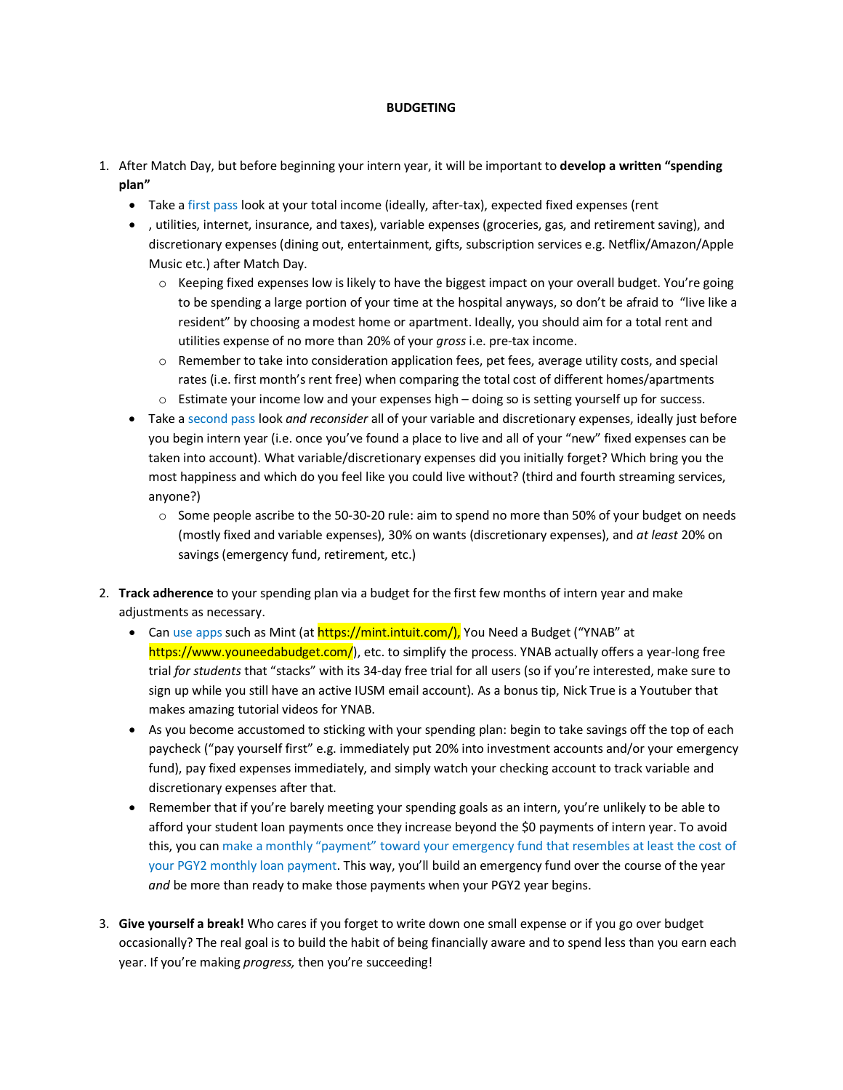### **BUDGETING**

- 1. After Match Day, but before beginning your intern year, it will be important to **develop a written "spending plan"**
	- Take a first pass look at your total income (ideally, after-tax), expected fixed expenses (rent
	- , utilities, internet, insurance, and taxes), variable expenses (groceries, gas, and retirement saving), and discretionary expenses (dining out, entertainment, gifts, subscription services e.g. Netflix/Amazon/Apple Music etc.) after Match Day.
		- $\circ$  Keeping fixed expenses low is likely to have the biggest impact on your overall budget. You're going to be spending a large portion of your time at the hospital anyways, so don't be afraid to "live like a resident" by choosing a modest home or apartment. Ideally, you should aim for a total rent and utilities expense of no more than 20% of your *gross* i.e. pre-tax income.
		- o Remember to take into consideration application fees, pet fees, average utility costs, and special rates (i.e. first month's rent free) when comparing the total cost of different homes/apartments
		- o Estimate your income low and your expenses high doing so is setting yourself up for success.
	- Take a second pass look *and reconsider* all of your variable and discretionary expenses, ideally just before you begin intern year (i.e. once you've found a place to live and all of your "new" fixed expenses can be taken into account). What variable/discretionary expenses did you initially forget? Which bring you the most happiness and which do you feel like you could live without? (third and fourth streaming services, anyone?)
		- $\circ$  Some people ascribe to the 50-30-20 rule: aim to spend no more than 50% of your budget on needs (mostly fixed and variable expenses), 30% on wants (discretionary expenses), and *at least* 20% on savings (emergency fund, retirement, etc.)
- 2. **Track adherence** to your spending plan via a budget for the first few months of intern year and make adjustments as necessary.
	- Can use apps such as Mint (at https://mint.intuit.com/), You Need a Budget ("YNAB" at https://www.youneedabudget.com/), etc. to simplify the process. YNAB actually offers a year-long free trial *for students* that "stacks" with its 34-day free trial for all users (so if you're interested, make sure to sign up while you still have an active IUSM email account). As a bonus tip, Nick True is a Youtuber that makes amazing tutorial videos for YNAB.
	- As you become accustomed to sticking with your spending plan: begin to take savings off the top of each paycheck ("pay yourself first" e.g. immediately put 20% into investment accounts and/or your emergency fund), pay fixed expenses immediately, and simply watch your checking account to track variable and discretionary expenses after that.
	- Remember that if you're barely meeting your spending goals as an intern, you're unlikely to be able to afford your student loan payments once they increase beyond the \$0 payments of intern year. To avoid this, you can make a monthly "payment" toward your emergency fund that resembles at least the cost of your PGY2 monthly loan payment. This way, you'll build an emergency fund over the course of the year *and* be more than ready to make those payments when your PGY2 year begins.
- 3. **Give yourself a break!** Who cares if you forget to write down one small expense or if you go over budget occasionally? The real goal is to build the habit of being financially aware and to spend less than you earn each year. If you're making *progress,* then you're succeeding!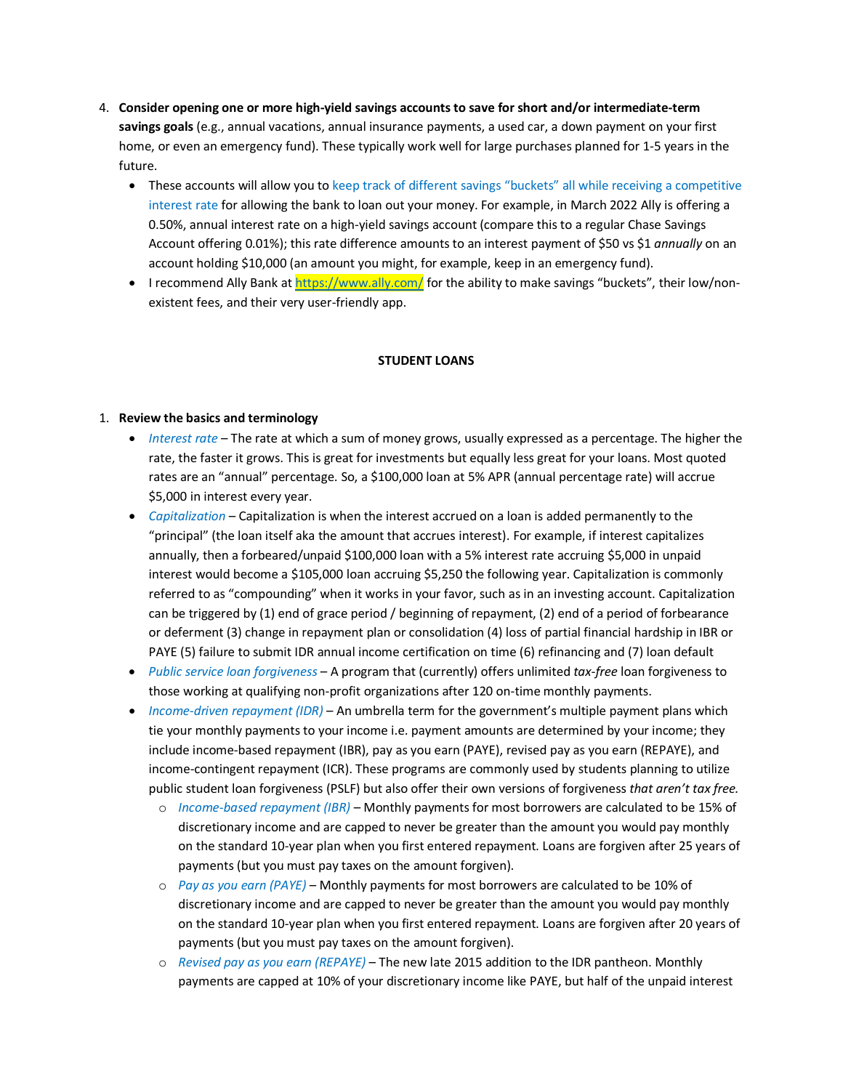- 4. **Consider opening one or more high-yield savings accounts to save for short and/or intermediate-term savings goals** (e.g., annual vacations, annual insurance payments, a used car, a down payment on your first home, or even an emergency fund). These typically work well for large purchases planned for 1-5 years in the future.
	- These accounts will allow you to keep track of different savings "buckets" all while receiving a competitive interest rate for allowing the bank to loan out your money. For example, in March 2022 Ally is offering a 0.50%, annual interest rate on a high-yield savings account (compare this to a regular Chase Savings Account offering 0.01%); this rate difference amounts to an interest payment of \$50 vs \$1 *annually* on an account holding \$10,000 (an amount you might, for example, keep in an emergency fund).
	- I recommend Ally Bank a[t https://www.ally.com/](https://www.ally.com/) for the ability to make savings "buckets", their low/nonexistent fees, and their very user-friendly app.

### **STUDENT LOANS**

# 1. **Review the basics and terminology**

- *Interest rate* The rate at which a sum of money grows, usually expressed as a percentage. The higher the rate, the faster it grows. This is great for investments but equally less great for your loans. Most quoted rates are an "annual" percentage. So, a \$100,000 loan at 5% APR (annual percentage rate) will accrue \$5,000 in interest every year.
- *Capitalization* Capitalization is when the interest accrued on a loan is added permanently to the "principal" (the loan itself aka the amount that accrues interest). For example, if interest capitalizes annually, then a forbeared/unpaid \$100,000 loan with a 5% interest rate accruing \$5,000 in unpaid interest would become a \$105,000 loan accruing \$5,250 the following year. Capitalization is commonly referred to as "compounding" when it works in your favor, such as in an investing account. Capitalization can be triggered by (1) end of grace period / beginning of repayment, (2) end of a period of forbearance or deferment (3) change in repayment plan or consolidation (4) loss of partial financial hardship in IBR or PAYE (5) failure to submit IDR annual income certification on time (6) refinancing and (7) loan default
- *Public service loan forgiveness* A program that (currently) offers unlimited *tax-free* loan forgiveness to those working at qualifying non-profit organizations after 120 on-time monthly payments.
- *Income-driven repayment (IDR)* An umbrella term for the government's multiple payment plans which tie your monthly payments to your income i.e. payment amounts are determined by your income; they include income-based repayment (IBR), pay as you earn (PAYE), revised pay as you earn (REPAYE), and income-contingent repayment (ICR). These programs are commonly used by students planning to utilize public student loan forgiveness (PSLF) but also offer their own versions of forgiveness *that aren't tax free.*
	- o *Income-based repayment (IBR)* Monthly payments for most borrowers are calculated to be 15% of discretionary income and are capped to never be greater than the amount you would pay monthly on the standard 10-year plan when you first entered repayment. Loans are forgiven after 25 years of payments (but you must pay taxes on the amount forgiven).
	- o *Pay as you earn (PAYE)* Monthly payments for most borrowers are calculated to be 10% of discretionary income and are capped to never be greater than the amount you would pay monthly on the standard 10-year plan when you first entered repayment. Loans are forgiven after 20 years of payments (but you must pay taxes on the amount forgiven).
	- o *Revised pay as you earn (REPAYE)* The new late 2015 addition to the IDR pantheon. Monthly payments are capped at 10% of your discretionary income like PAYE, but half of the unpaid interest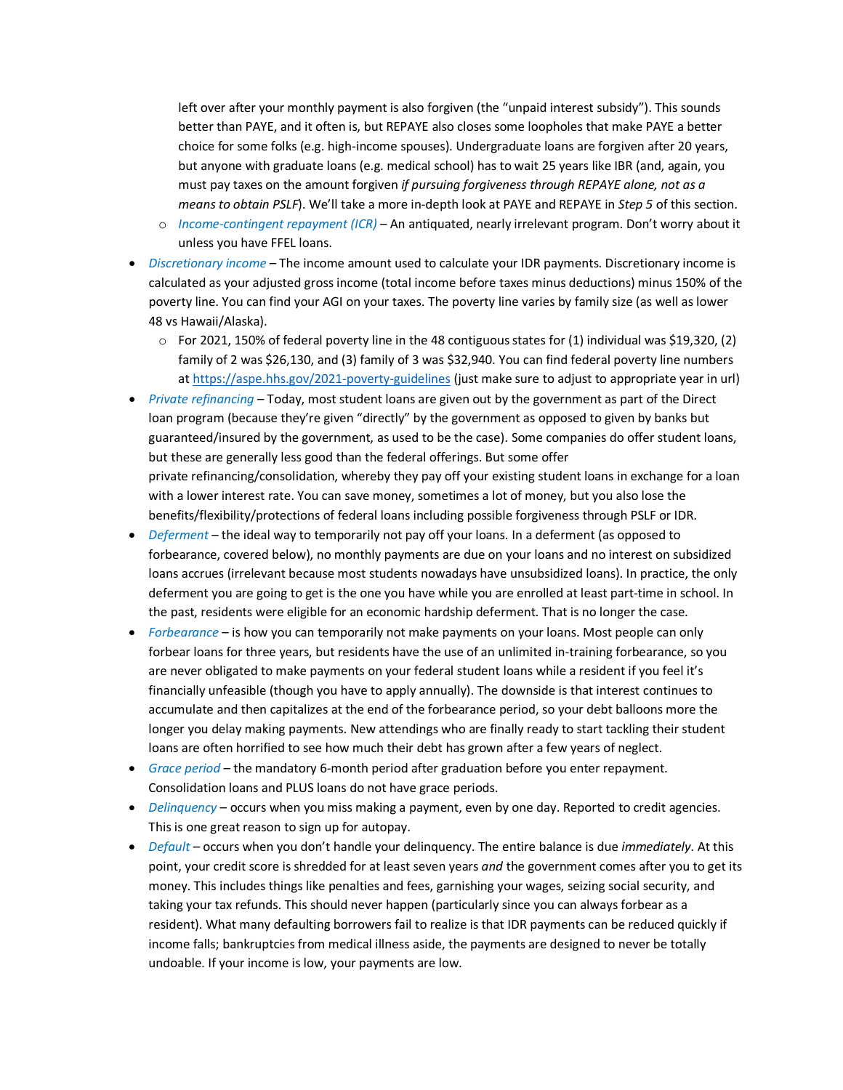left over after your monthly payment is also forgiven (the "unpaid interest subsidy"). This sounds better than PAYE, and it often is, but REPAYE also closes some loopholes that make PAYE a better choice for some folks (e.g. high-income spouses). Undergraduate loans are forgiven after 20 years, but anyone with graduate loans (e.g. medical school) has to wait 25 years like IBR (and, again, you must pay taxes on the amount forgiven *if pursuing forgiveness through REPAYE alone, not as a means to obtain PSLF*). We'll take a more in-depth look at PAYE and REPAYE in *Step 5* of this section.

- o *Income-contingent repayment (ICR)* An antiquated, nearly irrelevant program. Don't worry about it unless you have FFEL loans.
- *Discretionary income* The income amount used to calculate your IDR payments. Discretionary income is calculated as your adjusted gross income (total income before taxes minus deductions) minus 150% of the poverty line. You can find your AGI on your taxes. The poverty line varies by family size (as well as lower 48 vs Hawaii/Alaska).
	- $\circ$  For 2021, 150% of federal poverty line in the 48 contiguous states for (1) individual was \$19,320, (2) family of 2 was \$26,130, and (3) family of 3 was \$32,940. You can find federal poverty line numbers at<https://aspe.hhs.gov/2021-poverty-guidelines> (just make sure to adjust to appropriate year in url)
- *Private refinancing* Today, most student loans are given out by the government as part of the Direct loan program (because they're given "directly" by the government as opposed to given by banks but guaranteed/insured by the government, as used to be the case). Some companies do offer student loans, but these are generally less good than the federal offerings. But some offer private refinancing/consolidation, whereby they pay off your existing student loans in exchange for a loan with a lower interest rate. You can save money, sometimes a lot of money, but you also lose the benefits/flexibility/protections of federal loans including possible forgiveness through PSLF or IDR.
- *Deferment* the ideal way to temporarily not pay off your loans. In a deferment (as opposed to forbearance, covered below), no monthly payments are due on your loans and no interest on subsidized loans accrues (irrelevant because most students nowadays have unsubsidized loans). In practice, the only deferment you are going to get is the one you have while you are enrolled at least part-time in school. In the past, residents were eligible for an economic hardship deferment. That is no longer the case.
- *Forbearance* is how you can temporarily not make payments on your loans. Most people can only forbear loans for three years, but residents have the use of an unlimited in-training forbearance, so you are never obligated to make payments on your federal student loans while a resident if you feel it's financially unfeasible (though you have to apply annually). The downside is that interest continues to accumulate and then capitalizes at the end of the forbearance period, so your debt balloons more the longer you delay making payments. New attendings who are finally ready to start tackling their student loans are often horrified to see how much their debt has grown after a few years of neglect.
- *Grace period* the mandatory 6-month period after graduation before you enter repayment. Consolidation loans and PLUS loans do not have grace periods.
- *Delinquency* occurs when you miss making a payment, even by one day. Reported to credit agencies. This is one great reason to sign up for autopay.
- *Default* occurs when you don't handle your delinquency. The entire balance is due *immediately*. At this point, your credit score is shredded for at least seven years *and* the government comes after you to get its money. This includes things like penalties and fees, garnishing your wages, seizing social security, and taking your tax refunds. This should never happen (particularly since you can always forbear as a resident). What many defaulting borrowers fail to realize is that IDR payments can be reduced quickly if income falls; bankruptcies from medical illness aside, the payments are designed to never be totally undoable. If your income is low, your payments are low.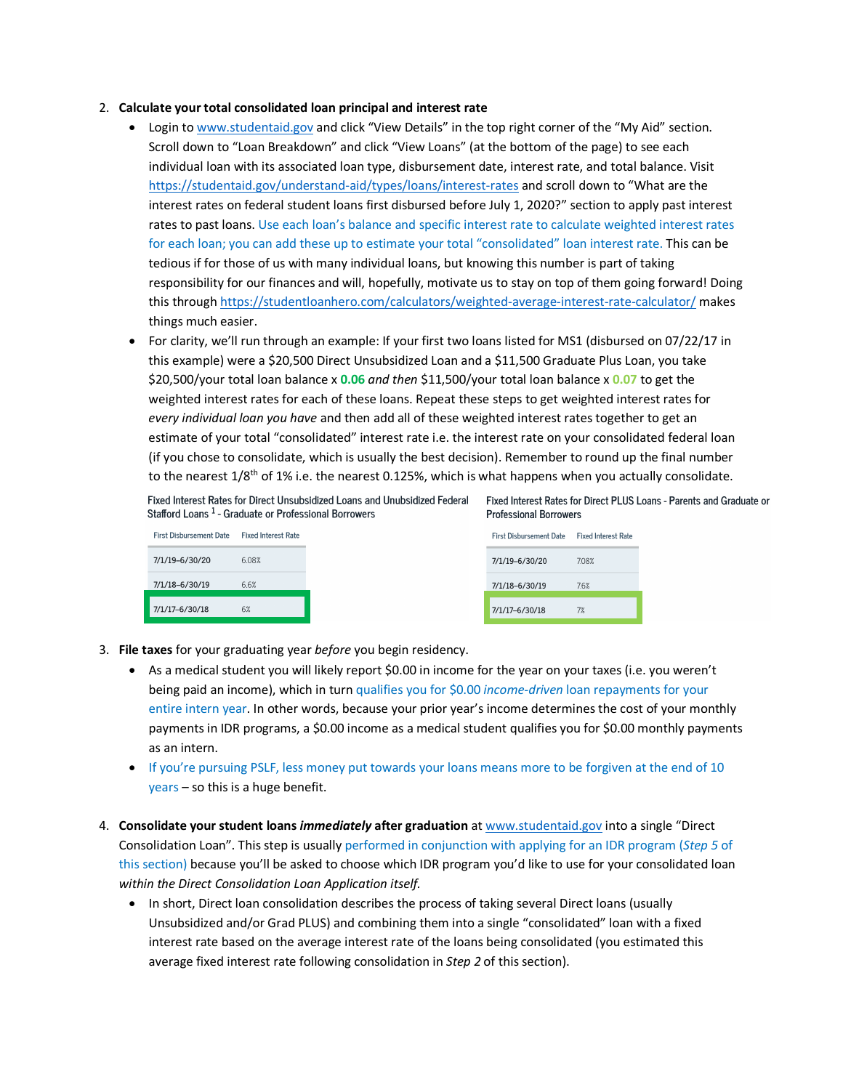### 2. **Calculate your total consolidated loan principal and interest rate**

- Login to [www.studentaid.gov](http://www.studentaid.gov/) and click "View Details" in the top right corner of the "My Aid" section. Scroll down to "Loan Breakdown" and click "View Loans" (at the bottom of the page) to see each individual loan with its associated loan type, disbursement date, interest rate, and total balance. Visit <https://studentaid.gov/understand-aid/types/loans/interest-rates> and scroll down to "What are the interest rates on federal student loans first disbursed before July 1, 2020?" section to apply past interest rates to past loans. Use each loan's balance and specific interest rate to calculate weighted interest rates for each loan; you can add these up to estimate your total "consolidated" loan interest rate. This can be tedious if for those of us with many individual loans, but knowing this number is part of taking responsibility for our finances and will, hopefully, motivate us to stay on top of them going forward! Doing this through<https://studentloanhero.com/calculators/weighted-average-interest-rate-calculator/> makes things much easier.
- For clarity, we'll run through an example: If your first two loans listed for MS1 (disbursed on 07/22/17 in this example) were a \$20,500 Direct Unsubsidized Loan and a \$11,500 Graduate Plus Loan, you take \$20,500/your total loan balance x **0.06** *and then* \$11,500/your total loan balance x **0.07** to get the weighted interest rates for each of these loans. Repeat these steps to get weighted interest rates for *every individual loan you have* and then add all of these weighted interest rates together to get an estimate of your total "consolidated" interest rate i.e. the interest rate on your consolidated federal loan (if you chose to consolidate, which is usually the best decision). Remember to round up the final number to the nearest  $1/8$ <sup>th</sup> of 1% i.e. the nearest 0.125%, which is what happens when you actually consolidate.

Fixed Interest Rates for Direct Unsubsidized Loans and Unubsidized Federal Fixed Interest Rates for Direct PLUS Loans - Parents and Graduate or Stafford Loans<sup>1</sup> - Graduate or Professional Borrowers

| <b>First Dishursement Date</b> | <b>Fixed Interest Rate</b> |
|--------------------------------|----------------------------|
| 7/1/19-6/30/20                 | 608%                       |
| 7/1/18-6/30/19                 | 66%                        |
| 7/1/17-6/30/18                 | 6%                         |

**Professional Borrowers** 

| <b>Fixed Interest Rate</b> |
|----------------------------|
| 708%                       |
| 76%                        |
| 7%                         |
|                            |

- 3. **File taxes** for your graduating year *before* you begin residency.
	- As a medical student you will likely report \$0.00 in income for the year on your taxes (i.e. you weren't being paid an income), which in turn qualifies you for \$0.00 *income-driven* loan repayments for your entire intern year. In other words, because your prior year's income determines the cost of your monthly payments in IDR programs, a \$0.00 income as a medical student qualifies you for \$0.00 monthly payments as an intern.
	- If you're pursuing PSLF, less money put towards your loans means more to be forgiven at the end of 10 years – so this is a huge benefit.
- 4. **Consolidate your student loans** *immediately* **after graduation** a[t www.studentaid.gov](http://www.studentaid.gov/) into a single "Direct Consolidation Loan". This step is usually performed in conjunction with applying for an IDR program (*Step 5* of this section) because you'll be asked to choose which IDR program you'd like to use for your consolidated loan *within the Direct Consolidation Loan Application itself.*
	- In short, Direct loan consolidation describes the process of taking several Direct loans (usually Unsubsidized and/or Grad PLUS) and combining them into a single "consolidated" loan with a fixed interest rate based on the average interest rate of the loans being consolidated (you estimated this average fixed interest rate following consolidation in *Step 2* of this section).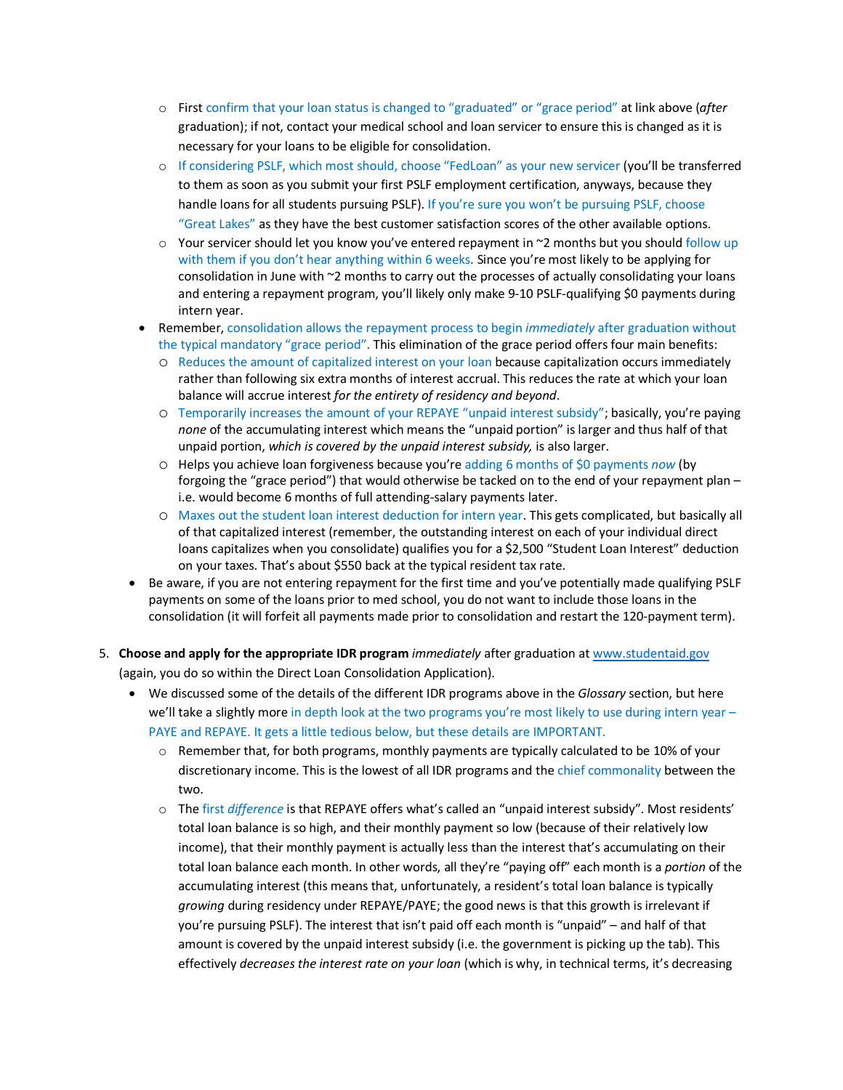- o First confirm that your loan status is changed to "graduated" or "grace period" at link above (*after* graduation); if not, contact your medical school and loan servicer to ensure this is changed as it is necessary for your loans to be eligible for consolidation.
- o If considering PSLF, which most should, choose "FedLoan" as your new servicer (you'll be transferred to them as soon as you submit your first PSLF employment certification, anyways, because they handle loans for all students pursuing PSLF). If you're sure you won't be pursuing PSLF, choose "Great Lakes" as they have the best customer satisfaction scores of the other available options.
- $\circ$  Your servicer should let you know you've entered repayment in  $\sim$ 2 months but you should follow up with them if you don't hear anything within 6 weeks. Since you're most likely to be applying for consolidation in June with ~2 months to carry out the processes of actually consolidating your loans and entering a repayment program, you'll likely only make 9-10 PSLF-qualifying \$0 payments during intern year.
- Remember, consolidation allows the repayment process to begin *immediately* after graduation without the typical mandatory "grace period". This elimination of the grace period offers four main benefits:
	- o Reduces the amount of capitalized interest on your loan because capitalization occurs immediately rather than following six extra months of interest accrual. This reduces the rate at which your loan balance will accrue interest *for the entirety of residency and beyond*.
	- o Temporarily increases the amount of your REPAYE "unpaid interest subsidy"; basically, you're paying *none* of the accumulating interest which means the "unpaid portion" is larger and thus half of that unpaid portion, *which is covered by the unpaid interest subsidy,* is also larger.
	- o Helps you achieve loan forgiveness because you're adding 6 months of \$0 payments *now* (by forgoing the "grace period") that would otherwise be tacked on to the end of your repayment plan – i.e. would become 6 months of full attending-salary payments later.
	- o Maxes out the student loan interest deduction for intern year. This gets complicated, but basically all of that capitalized interest (remember, the outstanding interest on each of your individual direct loans capitalizes when you consolidate) qualifies you for a \$2,500 "Student Loan Interest" deduction on your taxes. That's about \$550 back at the typical resident tax rate.
- Be aware, if you are not entering repayment for the first time and you've potentially made qualifying PSLF payments on some of the loans prior to med school, you do not want to include those loans in the consolidation (it will forfeit all payments made prior to consolidation and restart the 120-payment term).
- 5. **Choose and apply for the appropriate IDR program** *immediately* after graduation a[t www.studentaid.gov](http://www.studentaid.gov/) (again, you do so within the Direct Loan Consolidation Application).
	- We discussed some of the details of the different IDR programs above in the *Glossary* section, but here we'll take a slightly more in depth look at the two programs you're most likely to use during intern year -PAYE and REPAYE. It gets a little tedious below, but these details are IMPORTANT.
		- $\circ$  Remember that, for both programs, monthly payments are typically calculated to be 10% of your discretionary income. This is the lowest of all IDR programs and the chief commonality between the two.
		- o The first *difference* is that REPAYE offers what's called an "unpaid interest subsidy". Most residents' total loan balance is so high, and their monthly payment so low (because of their relatively low income), that their monthly payment is actually less than the interest that's accumulating on their total loan balance each month. In other words, all they're "paying off" each month is a *portion* of the accumulating interest (this means that, unfortunately, a resident's total loan balance is typically *growing* during residency under REPAYE/PAYE; the good news is that this growth is irrelevant if you're pursuing PSLF). The interest that isn't paid off each month is "unpaid" – and half of that amount is covered by the unpaid interest subsidy (i.e. the government is picking up the tab). This effectively *decreases the interest rate on your loan* (which is why, in technical terms, it's decreasing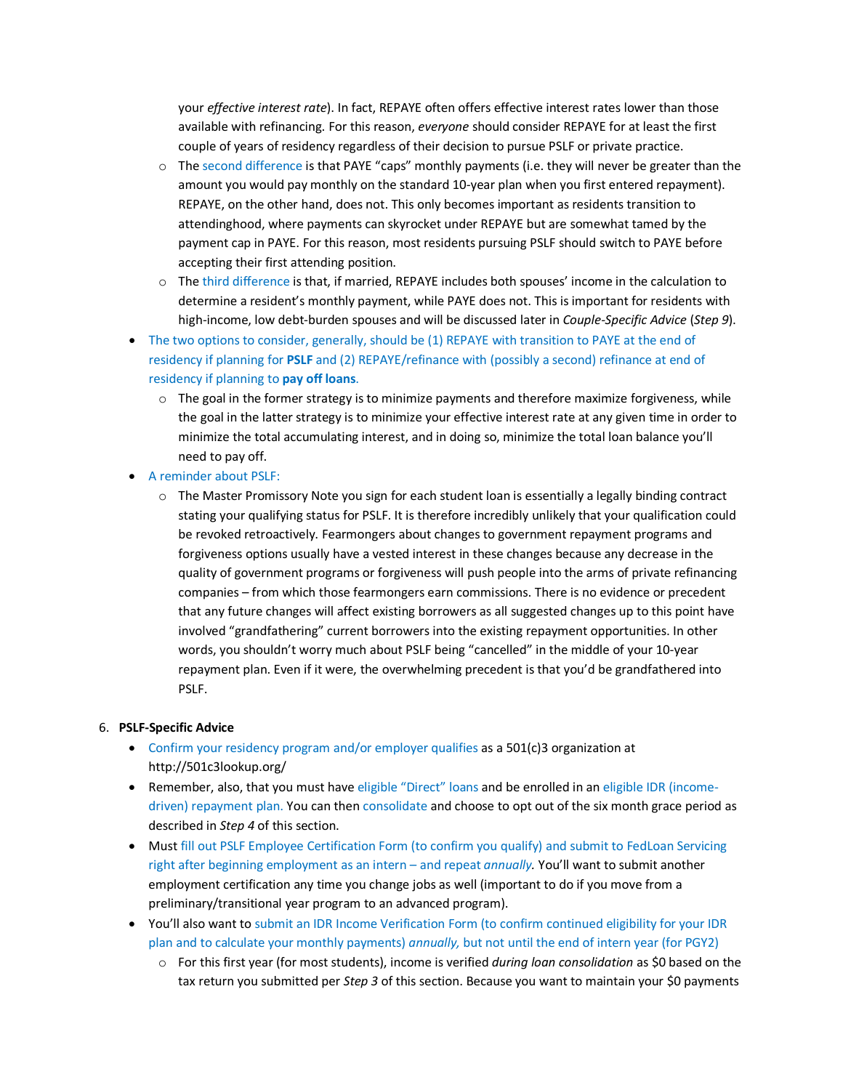your *effective interest rate*). In fact, REPAYE often offers effective interest rates lower than those available with refinancing. For this reason, *everyone* should consider REPAYE for at least the first couple of years of residency regardless of their decision to pursue PSLF or private practice.

- o The second difference is that PAYE "caps" monthly payments (i.e. they will never be greater than the amount you would pay monthly on the standard 10-year plan when you first entered repayment). REPAYE, on the other hand, does not. This only becomes important as residents transition to attendinghood, where payments can skyrocket under REPAYE but are somewhat tamed by the payment cap in PAYE. For this reason, most residents pursuing PSLF should switch to PAYE before accepting their first attending position.
- o The third difference is that, if married, REPAYE includes both spouses' income in the calculation to determine a resident's monthly payment, while PAYE does not. This is important for residents with high-income, low debt-burden spouses and will be discussed later in *Couple-Specific Advice* (*Step 9*).
- The two options to consider, generally, should be (1) REPAYE with transition to PAYE at the end of residency if planning for **PSLF** and (2) REPAYE/refinance with (possibly a second) refinance at end of residency if planning to **pay off loans**.
	- $\circ$  The goal in the former strategy is to minimize payments and therefore maximize forgiveness, while the goal in the latter strategy is to minimize your effective interest rate at any given time in order to minimize the total accumulating interest, and in doing so, minimize the total loan balance you'll need to pay off.
- A reminder about PSLF:
	- $\circ$  The Master Promissory Note you sign for each student loan is essentially a legally binding contract stating your qualifying status for PSLF. It is therefore incredibly unlikely that your qualification could be revoked retroactively. Fearmongers about changes to government repayment programs and forgiveness options usually have a vested interest in these changes because any decrease in the quality of government programs or forgiveness will push people into the arms of private refinancing companies – from which those fearmongers earn commissions. There is no evidence or precedent that any future changes will affect existing borrowers as all suggested changes up to this point have involved "grandfathering" current borrowers into the existing repayment opportunities. In other words, you shouldn't worry much about PSLF being "cancelled" in the middle of your 10-year repayment plan. Even if it were, the overwhelming precedent is that you'd be grandfathered into PSLF.

#### 6. **PSLF-Specific Advice**

- Confirm your residency program and/or employer qualifies as a 501(c)3 organization at http://501c3lookup.org/
- Remember, also, that you must have eligible "Direct" loans and be enrolled in an eligible IDR (incomedriven) repayment plan. You can then consolidate and choose to opt out of the six month grace period as described in *Step 4* of this section.
- Must fill out PSLF Employee Certification Form (to confirm you qualify) and submit to FedLoan Servicing right after beginning employment as an intern – and repeat *annually.* You'll want to submit another employment certification any time you change jobs as well (important to do if you move from a preliminary/transitional year program to an advanced program).
- You'll also want to submit an IDR Income Verification Form (to confirm continued eligibility for your IDR plan and to calculate your monthly payments) *annually,* but not until the end of intern year (for PGY2)
	- o For this first year (for most students), income is verified *during loan consolidation* as \$0 based on the tax return you submitted per *Step 3* of this section. Because you want to maintain your \$0 payments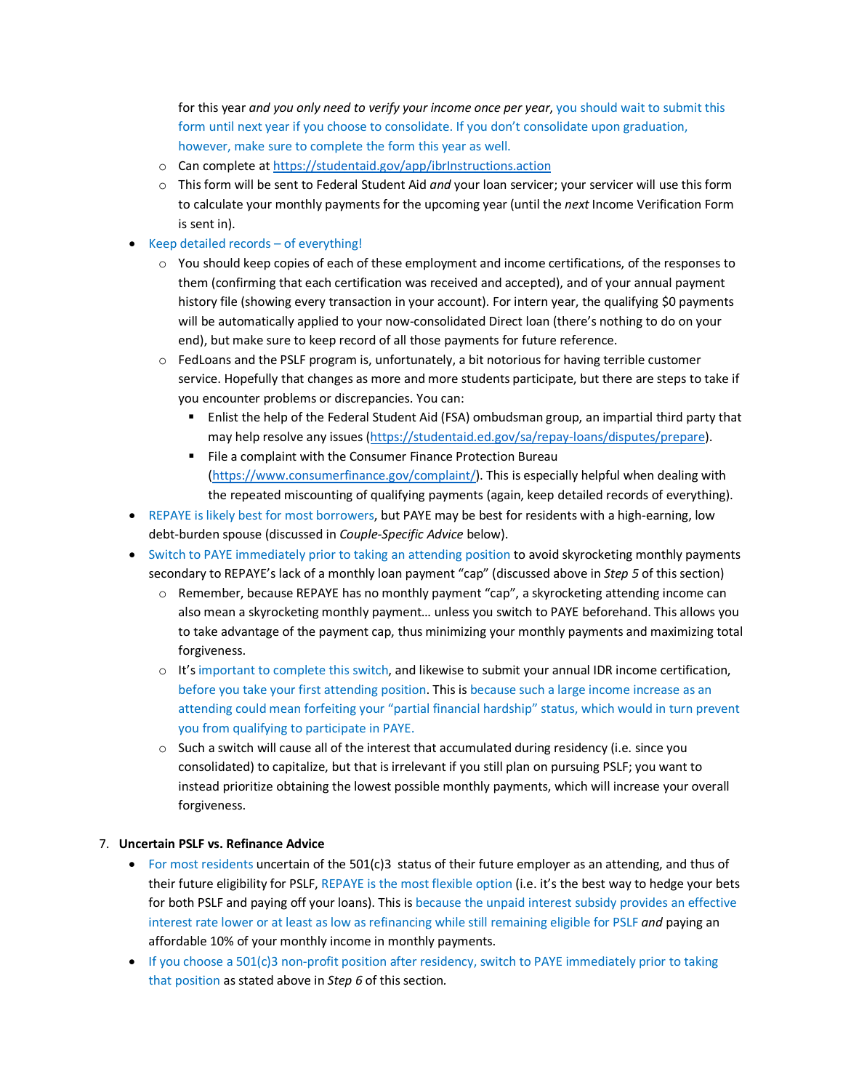for this year *and you only need to verify your income once per year*, you should wait to submit this form until next year if you choose to consolidate. If you don't consolidate upon graduation, however, make sure to complete the form this year as well.

- o Can complete a[t https://studentaid.gov/app/ibrInstructions.action](https://studentaid.gov/app/ibrInstructions.action)
- o This form will be sent to Federal Student Aid *and* your loan servicer; your servicer will use this form to calculate your monthly payments for the upcoming year (until the *next* Income Verification Form is sent in).
- Keep detailed records of everything!
	- o You should keep copies of each of these employment and income certifications, of the responses to them (confirming that each certification was received and accepted), and of your annual payment history file (showing every transaction in your account). For intern year, the qualifying \$0 payments will be automatically applied to your now-consolidated Direct loan (there's nothing to do on your end), but make sure to keep record of all those payments for future reference.
	- $\circ$  FedLoans and the PSLF program is, unfortunately, a bit notorious for having terrible customer service. Hopefully that changes as more and more students participate, but there are steps to take if you encounter problems or discrepancies. You can:
		- Enlist the help of the Federal Student Aid (FSA) ombudsman group, an impartial third party that may help resolve any issues [\(https://studentaid.ed.gov/sa/repay-loans/disputes/prepare\)](https://studentaid.ed.gov/sa/repay-loans/disputes/prepare).
		- File a complaint with the Consumer Finance Protection Bureau [\(https://www.consumerfinance.gov/complaint/\)](https://www.consumerfinance.gov/complaint/). This is especially helpful when dealing with the repeated miscounting of qualifying payments (again, keep detailed records of everything).
- REPAYE is likely best for most borrowers, but PAYE may be best for residents with a high-earning, low debt-burden spouse (discussed in *Couple-Specific Advice* below).
- Switch to PAYE immediately prior to taking an attending position to avoid skyrocketing monthly payments secondary to REPAYE's lack of a monthly loan payment "cap" (discussed above in *Step 5* of this section)
	- o Remember, because REPAYE has no monthly payment "cap", a skyrocketing attending income can also mean a skyrocketing monthly payment… unless you switch to PAYE beforehand. This allows you to take advantage of the payment cap, thus minimizing your monthly payments and maximizing total forgiveness.
	- o It's important to complete this switch, and likewise to submit your annual IDR income certification, before you take your first attending position. This is because such a large income increase as an attending could mean forfeiting your "partial financial hardship" status, which would in turn prevent you from qualifying to participate in PAYE.
	- $\circ$  Such a switch will cause all of the interest that accumulated during residency (i.e. since you consolidated) to capitalize, but that is irrelevant if you still plan on pursuing PSLF; you want to instead prioritize obtaining the lowest possible monthly payments, which will increase your overall forgiveness.

# 7. **Uncertain PSLF vs. Refinance Advice**

- For most residents uncertain of the 501(c)3 status of their future employer as an attending, and thus of their future eligibility for PSLF, REPAYE is the most flexible option (i.e. it's the best way to hedge your bets for both PSLF and paying off your loans). This is because the unpaid interest subsidy provides an effective interest rate lower or at least as low as refinancing while still remaining eligible for PSLF *and* paying an affordable 10% of your monthly income in monthly payments.
- If you choose a 501(c)3 non-profit position after residency, switch to PAYE immediately prior to taking that position as stated above in *Step 6* of this section*.*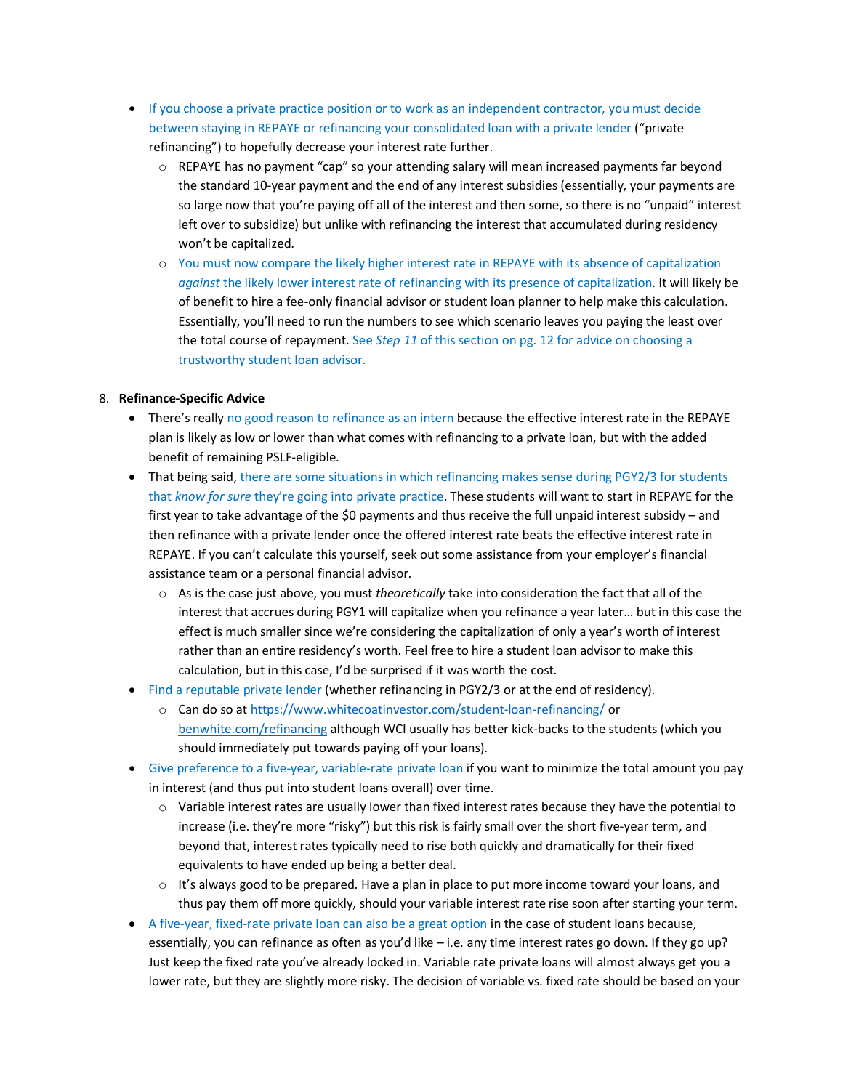- If you choose a private practice position or to work as an independent contractor, you must decide between staying in REPAYE or refinancing your consolidated loan with a private lender ("private refinancing") to hopefully decrease your interest rate further.
	- $\circ$  REPAYE has no payment "cap" so your attending salary will mean increased payments far beyond the standard 10-year payment and the end of any interest subsidies (essentially, your payments are so large now that you're paying off all of the interest and then some, so there is no "unpaid" interest left over to subsidize) but unlike with refinancing the interest that accumulated during residency won't be capitalized.
	- o You must now compare the likely higher interest rate in REPAYE with its absence of capitalization *against* the likely lower interest rate of refinancing with its presence of capitalization. It will likely be of benefit to hire a fee-only financial advisor or student loan planner to help make this calculation. Essentially, you'll need to run the numbers to see which scenario leaves you paying the least over the total course of repayment. See *Step 11* of this section on pg. 12 for advice on choosing a trustworthy student loan advisor.

# 8. **Refinance-Specific Advice**

- There's really no good reason to refinance as an intern because the effective interest rate in the REPAYE plan is likely as low or lower than what comes with refinancing to a private loan, but with the added benefit of remaining PSLF-eligible.
- That being said, there are some situations in which refinancing makes sense during PGY2/3 for students that *know for sure* they're going into private practice. These students will want to start in REPAYE for the first year to take advantage of the \$0 payments and thus receive the full unpaid interest subsidy – and then refinance with a private lender once the offered interest rate beats the effective interest rate in REPAYE. If you can't calculate this yourself, seek out some assistance from your employer's financial assistance team or a personal financial advisor.
	- o As is the case just above, you must *theoretically* take into consideration the fact that all of the interest that accrues during PGY1 will capitalize when you refinance a year later… but in this case the effect is much smaller since we're considering the capitalization of only a year's worth of interest rather than an entire residency's worth. Feel free to hire a student loan advisor to make this calculation, but in this case, I'd be surprised if it was worth the cost.
- Find a reputable private lender (whether refinancing in PGY2/3 or at the end of residency).
	- o Can do so at<https://www.whitecoatinvestor.com/student-loan-refinancing/> or [benwhite.com/refinancing](http://benwhite.com/refinancing) although WCI usually has better kick-backs to the students (which you should immediately put towards paying off your loans).
- Give preference to a five-year, variable-rate private loan if you want to minimize the total amount you pay in interest (and thus put into student loans overall) over time.
	- $\circ$  Variable interest rates are usually lower than fixed interest rates because they have the potential to increase (i.e. they're more "risky") but this risk is fairly small over the short five-year term, and beyond that, interest rates typically need to rise both quickly and dramatically for their fixed equivalents to have ended up being a better deal.
	- o It's always good to be prepared. Have a plan in place to put more income toward your loans, and thus pay them off more quickly, should your variable interest rate rise soon after starting your term.
- A five-year, fixed-rate private loan can also be a great option in the case of student loans because, essentially, you can refinance as often as you'd like – i.e. any time interest rates go down. If they go up? Just keep the fixed rate you've already locked in. Variable rate private loans will almost always get you a lower rate, but they are slightly more risky. The decision of variable vs. fixed rate should be based on your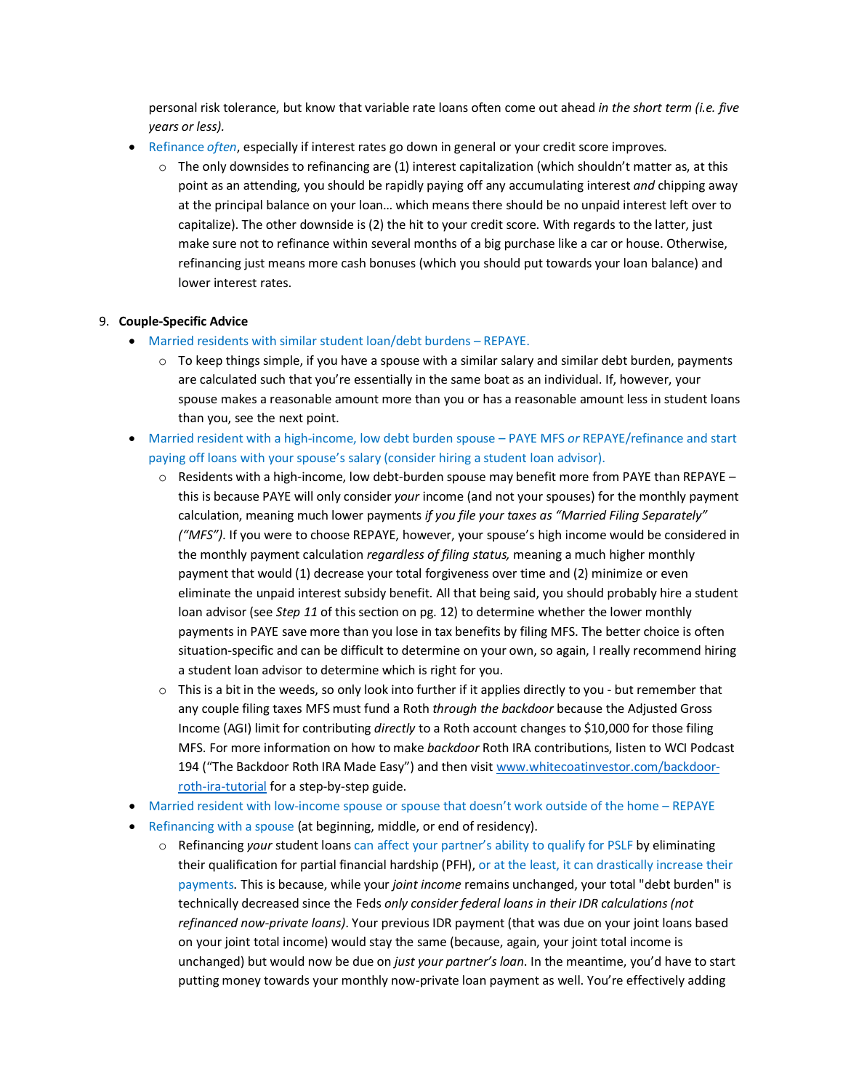personal risk tolerance, but know that variable rate loans often come out ahead *in the short term (i.e. five years or less).*

- Refinance *often*, especially if interest rates go down in general or your credit score improves.
	- $\circ$  The only downsides to refinancing are (1) interest capitalization (which shouldn't matter as, at this point as an attending, you should be rapidly paying off any accumulating interest *and* chipping away at the principal balance on your loan… which means there should be no unpaid interest left over to capitalize). The other downside is (2) the hit to your credit score. With regards to the latter, just make sure not to refinance within several months of a big purchase like a car or house. Otherwise, refinancing just means more cash bonuses (which you should put towards your loan balance) and lower interest rates.

### 9. **Couple-Specific Advice**

- Married residents with similar student loan/debt burdens REPAYE.
	- $\circ$  To keep things simple, if you have a spouse with a similar salary and similar debt burden, payments are calculated such that you're essentially in the same boat as an individual. If, however, your spouse makes a reasonable amount more than you or has a reasonable amount less in student loans than you, see the next point.
- Married resident with a high-income, low debt burden spouse PAYE MFS *or* REPAYE/refinance and start paying off loans with your spouse's salary (consider hiring a student loan advisor).
	- $\circ$  Residents with a high-income, low debt-burden spouse may benefit more from PAYE than REPAYE this is because PAYE will only consider *your* income (and not your spouses) for the monthly payment calculation, meaning much lower payments *if you file your taxes as "Married Filing Separately" ("MFS")*. If you were to choose REPAYE, however, your spouse's high income would be considered in the monthly payment calculation *regardless of filing status,* meaning a much higher monthly payment that would (1) decrease your total forgiveness over time and (2) minimize or even eliminate the unpaid interest subsidy benefit. All that being said, you should probably hire a student loan advisor (see *Step 11* of this section on pg. 12) to determine whether the lower monthly payments in PAYE save more than you lose in tax benefits by filing MFS. The better choice is often situation-specific and can be difficult to determine on your own, so again, I really recommend hiring a student loan advisor to determine which is right for you.
	- $\circ$  This is a bit in the weeds, so only look into further if it applies directly to you but remember that any couple filing taxes MFS must fund a Roth *through the backdoor* because the Adjusted Gross Income (AGI) limit for contributing *directly* to a Roth account changes to \$10,000 for those filing MFS. For more information on how to make *backdoor* Roth IRA contributions, listen to WCI Podcast 194 ("The Backdoor Roth IRA Made Easy") and then visit [www.whitecoatinvestor.com/backdoor](http://www.whitecoatinvestor.com/backdoor-roth-ira-tutorial)[roth-ira-tutorial](http://www.whitecoatinvestor.com/backdoor-roth-ira-tutorial) for a step-by-step guide.
- Married resident with low-income spouse or spouse that doesn't work outside of the home REPAYE
- Refinancing with a spouse (at beginning, middle, or end of residency).
	- o Refinancing *your* student loans can affect your partner's ability to qualify for PSLF by eliminating their qualification for partial financial hardship (PFH), or at the least, it can drastically increase their payments. This is because, while your *joint income* remains unchanged, your total "debt burden" is technically decreased since the Feds *only consider federal loans in their IDR calculations (not refinanced now-private loans)*. Your previous IDR payment (that was due on your joint loans based on your joint total income) would stay the same (because, again, your joint total income is unchanged) but would now be due on *just your partner's loan*. In the meantime, you'd have to start putting money towards your monthly now-private loan payment as well. You're effectively adding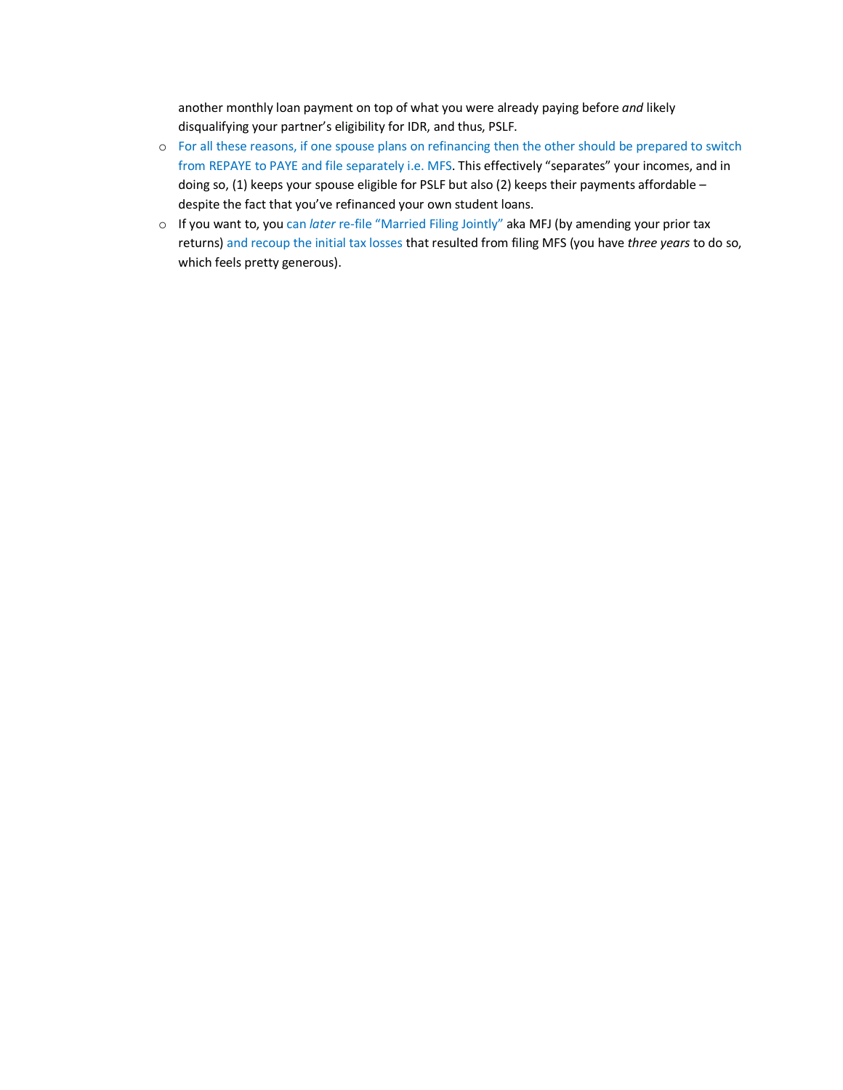another monthly loan payment on top of what you were already paying before *and* likely disqualifying your partner's eligibility for IDR, and thus, PSLF.

- o For all these reasons, if one spouse plans on refinancing then the other should be prepared to switch from REPAYE to PAYE and file separately i.e. MFS. This effectively "separates" your incomes, and in doing so, (1) keeps your spouse eligible for PSLF but also (2) keeps their payments affordable despite the fact that you've refinanced your own student loans.
- o If you want to, you can *later* re-file "Married Filing Jointly" aka MFJ (by amending your prior tax returns) and recoup the initial tax losses that resulted from filing MFS (you have *three years* to do so, which feels pretty generous).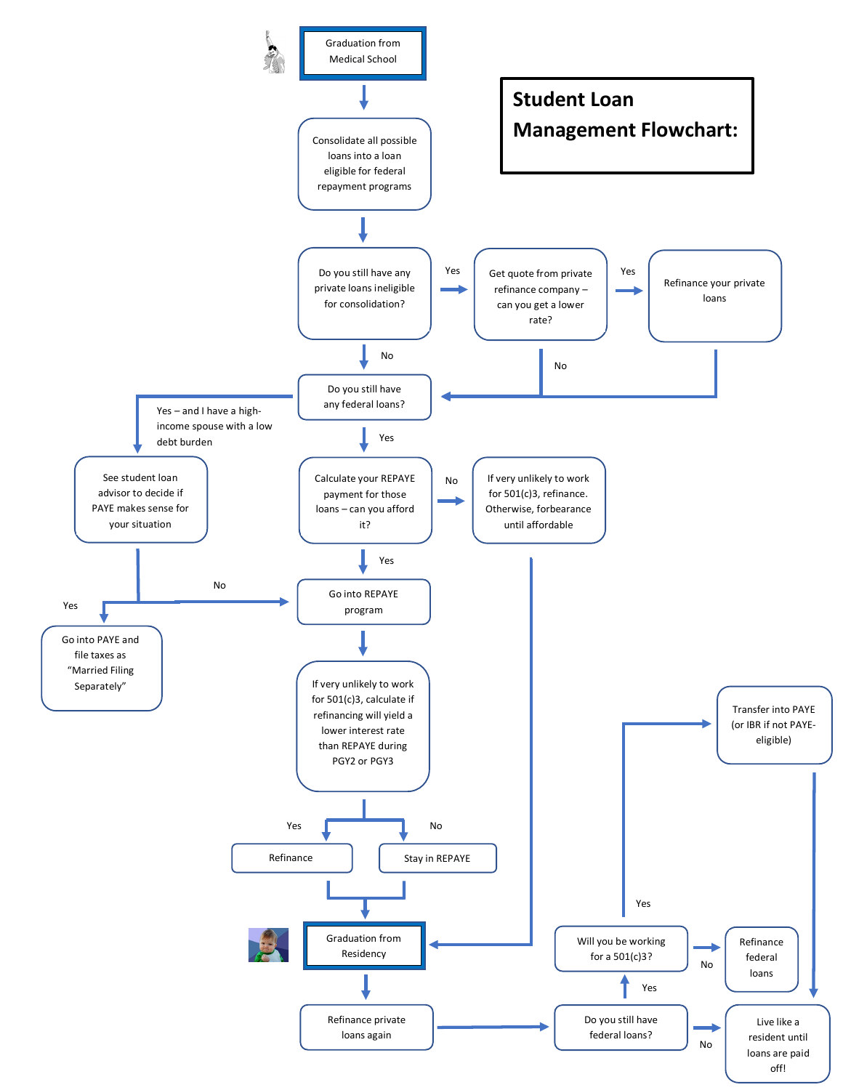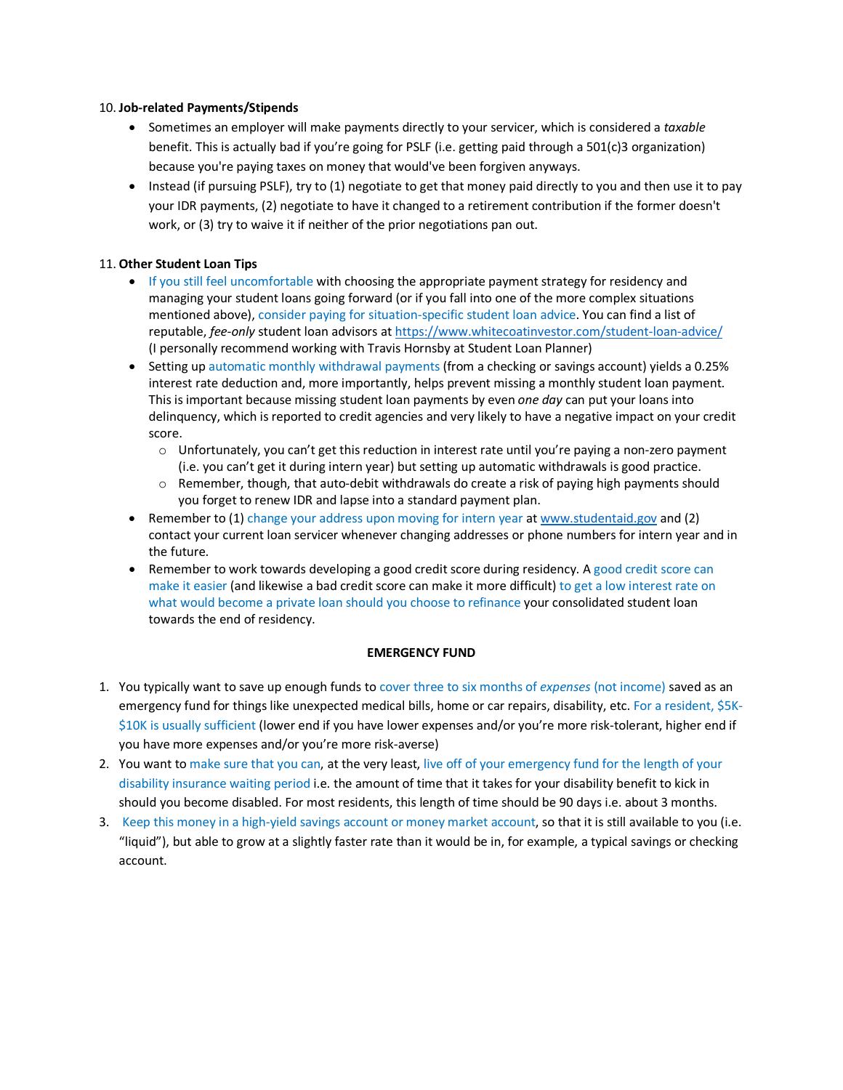### 10. **Job-related Payments/Stipends**

- Sometimes an employer will make payments directly to your servicer, which is considered a *taxable*  benefit. This is actually bad if you're going for PSLF (i.e. getting paid through a 501(c)3 organization) because you're paying taxes on money that would've been forgiven anyways.
- Instead (if pursuing PSLF), try to (1) negotiate to get that money paid directly to you and then use it to pay your IDR payments, (2) negotiate to have it changed to a retirement contribution if the former doesn't work, or (3) try to waive it if neither of the prior negotiations pan out.

# 11. **Other Student Loan Tips**

- If you still feel uncomfortable with choosing the appropriate payment strategy for residency and managing your student loans going forward (or if you fall into one of the more complex situations mentioned above), consider paying for situation-specific student loan advice. You can find a list of reputable, *fee-only* student loan advisors at<https://www.whitecoatinvestor.com/student-loan-advice/> (I personally recommend working with Travis Hornsby at Student Loan Planner)
- Setting up automatic monthly withdrawal payments (from a checking or savings account) yields a 0.25% interest rate deduction and, more importantly, helps prevent missing a monthly student loan payment. This is important because missing student loan payments by even *one day* can put your loans into delinquency, which is reported to credit agencies and very likely to have a negative impact on your credit score.
	- $\circ$  Unfortunately, you can't get this reduction in interest rate until you're paying a non-zero payment (i.e. you can't get it during intern year) but setting up automatic withdrawals is good practice.
	- o Remember, though, that auto-debit withdrawals do create a risk of paying high payments should you forget to renew IDR and lapse into a standard payment plan.
- Remember to (1) change your address upon moving for intern year a[t www.studentaid.gov](http://www.studentaid.gov/) and (2) contact your current loan servicer whenever changing addresses or phone numbers for intern year and in the future.
- Remember to work towards developing a good credit score during residency. A good credit score can make it easier (and likewise a bad credit score can make it more difficult) to get a low interest rate on what would become a private loan should you choose to refinance your consolidated student loan towards the end of residency.

# **EMERGENCY FUND**

- 1. You typically want to save up enough funds to cover three to six months of *expenses* (not income) saved as an emergency fund for things like unexpected medical bills, home or car repairs, disability, etc. For a resident, \$5K- \$10K is usually sufficient (lower end if you have lower expenses and/or you're more risk-tolerant, higher end if you have more expenses and/or you're more risk-averse)
- 2. You want to make sure that you can, at the very least, live off of your emergency fund for the length of your disability insurance waiting period i.e. the amount of time that it takes for your disability benefit to kick in should you become disabled. For most residents, this length of time should be 90 days i.e. about 3 months.
- 3. Keep this money in a high-yield savings account or money market account, so that it is still available to you (i.e. "liquid"), but able to grow at a slightly faster rate than it would be in, for example, a typical savings or checking account.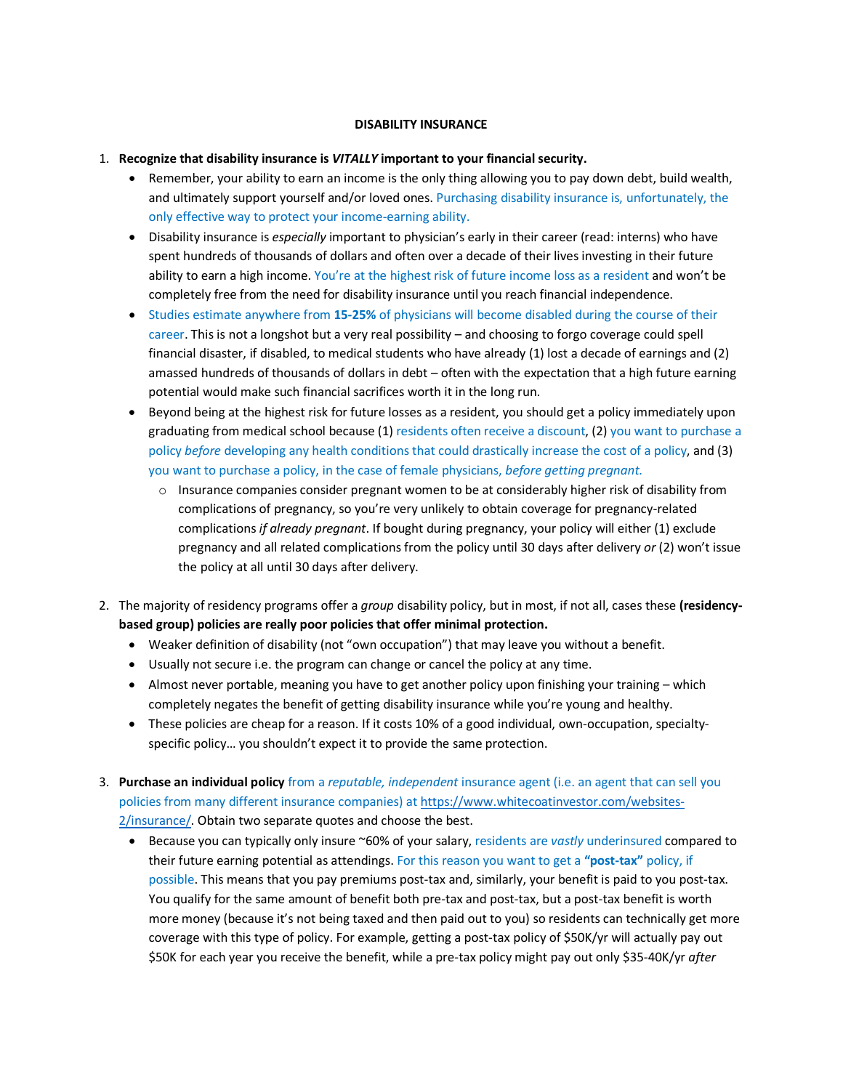# **DISABILITY INSURANCE**

- 1. **Recognize that disability insurance is** *VITALLY* **important to your financial security.**
	- Remember, your ability to earn an income is the only thing allowing you to pay down debt, build wealth, and ultimately support yourself and/or loved ones. Purchasing disability insurance is, unfortunately, the only effective way to protect your income-earning ability.
	- Disability insurance is *especially* important to physician's early in their career (read: interns) who have spent hundreds of thousands of dollars and often over a decade of their lives investing in their future ability to earn a high income. You're at the highest risk of future income loss as a resident and won't be completely free from the need for disability insurance until you reach financial independence.
	- Studies estimate anywhere from **15-25%** of physicians will become disabled during the course of their career. This is not a longshot but a very real possibility – and choosing to forgo coverage could spell financial disaster, if disabled, to medical students who have already (1) lost a decade of earnings and (2) amassed hundreds of thousands of dollars in debt – often with the expectation that a high future earning potential would make such financial sacrifices worth it in the long run.
	- Beyond being at the highest risk for future losses as a resident, you should get a policy immediately upon graduating from medical school because (1) residents often receive a discount, (2) you want to purchase a policy *before* developing any health conditions that could drastically increase the cost of a policy, and (3) you want to purchase a policy, in the case of female physicians, *before getting pregnant.* 
		- $\circ$  Insurance companies consider pregnant women to be at considerably higher risk of disability from complications of pregnancy, so you're very unlikely to obtain coverage for pregnancy-related complications *if already pregnant*. If bought during pregnancy, your policy will either (1) exclude pregnancy and all related complications from the policy until 30 days after delivery *or* (2) won't issue the policy at all until 30 days after delivery.
- 2. The majority of residency programs offer a *group* disability policy, but in most, if not all, cases these **(residencybased group) policies are really poor policies that offer minimal protection.**
	- Weaker definition of disability (not "own occupation") that may leave you without a benefit.
	- Usually not secure i.e. the program can change or cancel the policy at any time.
	- Almost never portable, meaning you have to get another policy upon finishing your training which completely negates the benefit of getting disability insurance while you're young and healthy.
	- These policies are cheap for a reason. If it costs 10% of a good individual, own-occupation, specialtyspecific policy… you shouldn't expect it to provide the same protection.
- 3. **Purchase an individual policy** from a *reputable, independent* insurance agent (i.e. an agent that can sell you policies from many different insurance companies) at [https://www.whitecoatinvestor.com/websites-](https://www.whitecoatinvestor.com/websites-2/insurance/)[2/insurance/.](https://www.whitecoatinvestor.com/websites-2/insurance/) Obtain two separate quotes and choose the best.
	- Because you can typically only insure ~60% of your salary, residents are *vastly* underinsured compared to their future earning potential as attendings. For this reason you want to get a **"post-tax"** policy, if possible. This means that you pay premiums post-tax and, similarly, your benefit is paid to you post-tax. You qualify for the same amount of benefit both pre-tax and post-tax, but a post-tax benefit is worth more money (because it's not being taxed and then paid out to you) so residents can technically get more coverage with this type of policy. For example, getting a post-tax policy of \$50K/yr will actually pay out \$50K for each year you receive the benefit, while a pre-tax policy might pay out only \$35-40K/yr *after*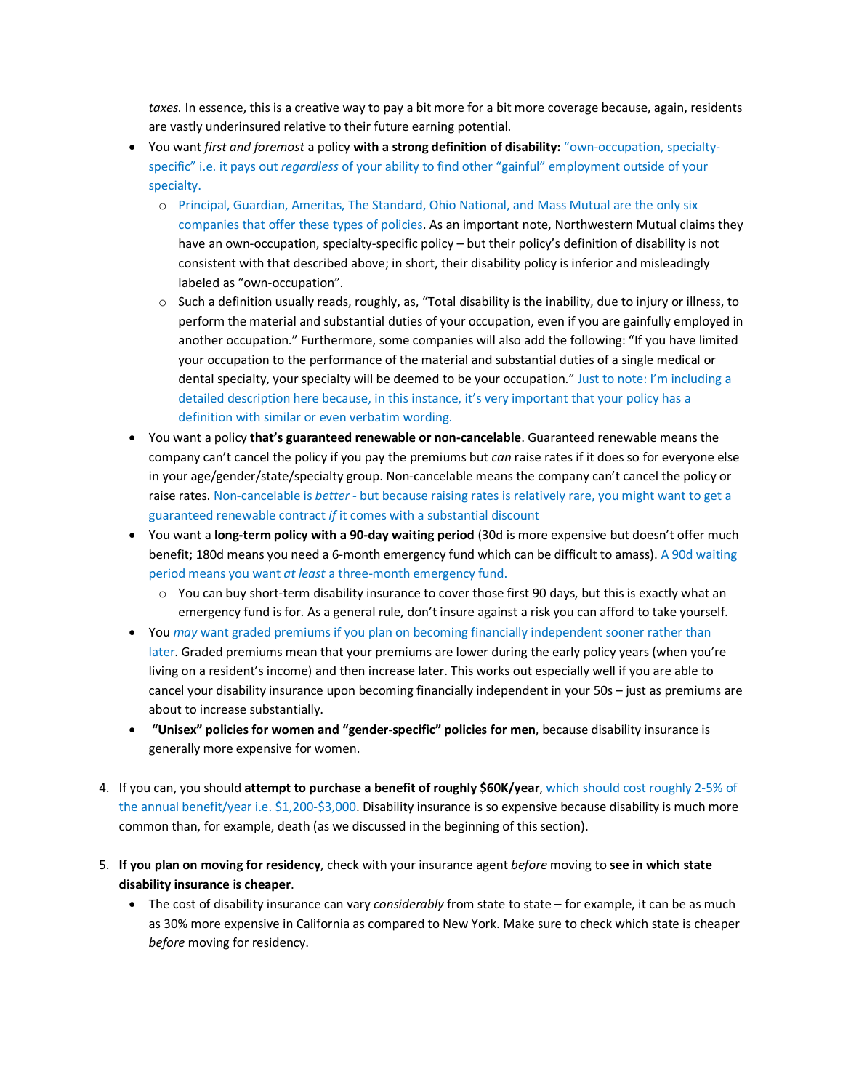*taxes.* In essence, this is a creative way to pay a bit more for a bit more coverage because, again, residents are vastly underinsured relative to their future earning potential.

- You want *first and foremost* a policy **with a strong definition of disability:** "own-occupation, specialtyspecific" i.e. it pays out *regardless* of your ability to find other "gainful" employment outside of your specialty.
	- o Principal, Guardian, Ameritas, The Standard, Ohio National, and Mass Mutual are the only six companies that offer these types of policies. As an important note, Northwestern Mutual claims they have an own-occupation, specialty-specific policy – but their policy's definition of disability is not consistent with that described above; in short, their disability policy is inferior and misleadingly labeled as "own-occupation".
	- o Such a definition usually reads, roughly, as, "Total disability is the inability, due to injury or illness, to perform the material and substantial duties of your occupation, even if you are gainfully employed in another occupation." Furthermore, some companies will also add the following: "If you have limited your occupation to the performance of the material and substantial duties of a single medical or dental specialty, your specialty will be deemed to be your occupation." Just to note: I'm including a detailed description here because, in this instance, it's very important that your policy has a definition with similar or even verbatim wording.
- You want a policy **that's guaranteed renewable or non-cancelable**. Guaranteed renewable means the company can't cancel the policy if you pay the premiums but *can* raise rates if it does so for everyone else in your age/gender/state/specialty group. Non-cancelable means the company can't cancel the policy or raise rates. Non-cancelable is *better* - but because raising rates is relatively rare, you might want to get a guaranteed renewable contract *if* it comes with a substantial discount
- You want a **long-term policy with a 90-day waiting period** (30d is more expensive but doesn't offer much benefit; 180d means you need a 6-month emergency fund which can be difficult to amass). A 90d waiting period means you want *at least* a three-month emergency fund.
	- $\circ$  You can buy short-term disability insurance to cover those first 90 days, but this is exactly what an emergency fund is for. As a general rule, don't insure against a risk you can afford to take yourself.
- You *may* want graded premiums if you plan on becoming financially independent sooner rather than later. Graded premiums mean that your premiums are lower during the early policy years (when you're living on a resident's income) and then increase later. This works out especially well if you are able to cancel your disability insurance upon becoming financially independent in your 50s – just as premiums are about to increase substantially.
- **"Unisex" policies for women and "gender-specific" policies for men**, because disability insurance is generally more expensive for women.
- 4. If you can, you should **attempt to purchase a benefit of roughly \$60K/year**, which should cost roughly 2-5% of the annual benefit/year i.e. \$1,200-\$3,000. Disability insurance is so expensive because disability is much more common than, for example, death (as we discussed in the beginning of this section).
- 5. **If you plan on moving for residency**, check with your insurance agent *before* moving to **see in which state disability insurance is cheaper**.
	- The cost of disability insurance can vary *considerably* from state to state for example, it can be as much as 30% more expensive in California as compared to New York. Make sure to check which state is cheaper *before* moving for residency.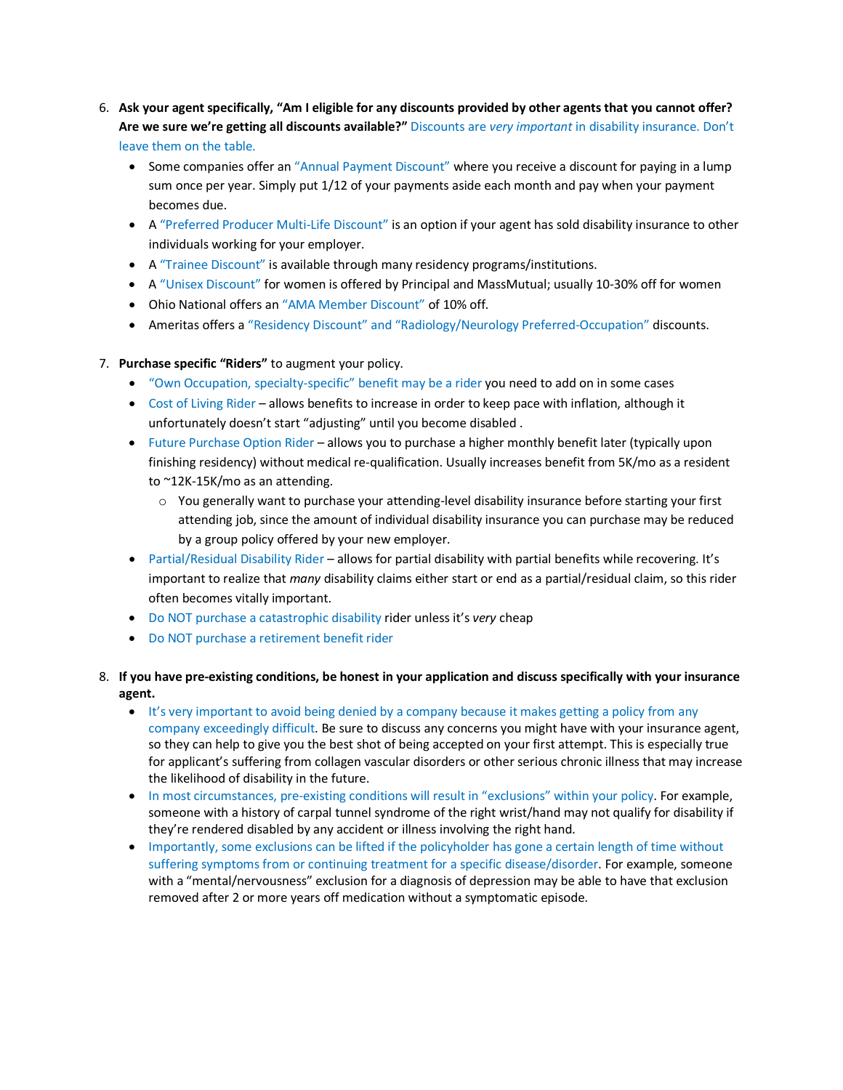- 6. **Ask your agent specifically, "Am I eligible for any discounts provided by other agents that you cannot offer? Are we sure we're getting all discounts available?"** Discounts are *very important* in disability insurance. Don't leave them on the table.
	- Some companies offer an "Annual Payment Discount" where you receive a discount for paying in a lump sum once per year. Simply put 1/12 of your payments aside each month and pay when your payment becomes due.
	- A "Preferred Producer Multi-Life Discount" is an option if your agent has sold disability insurance to other individuals working for your employer.
	- A "Trainee Discount" is available through many residency programs/institutions.
	- A "Unisex Discount" for women is offered by Principal and MassMutual; usually 10-30% off for women
	- Ohio National offers an "AMA Member Discount" of 10% off.
	- Ameritas offers a "Residency Discount" and "Radiology/Neurology Preferred-Occupation" discounts.
- 7. **Purchase specific "Riders"** to augment your policy.
	- "Own Occupation, specialty-specific" benefit may be a rider you need to add on in some cases
	- Cost of Living Rider allows benefits to increase in order to keep pace with inflation, although it unfortunately doesn't start "adjusting" until you become disabled .
	- Future Purchase Option Rider allows you to purchase a higher monthly benefit later (typically upon finishing residency) without medical re-qualification. Usually increases benefit from 5K/mo as a resident to ~12K-15K/mo as an attending.
		- $\circ$  You generally want to purchase your attending-level disability insurance before starting your first attending job, since the amount of individual disability insurance you can purchase may be reduced by a group policy offered by your new employer.
	- Partial/Residual Disability Rider allows for partial disability with partial benefits while recovering. It's important to realize that *many* disability claims either start or end as a partial/residual claim, so this rider often becomes vitally important.
	- Do NOT purchase a catastrophic disability rider unless it's *very* cheap
	- Do NOT purchase a retirement benefit rider
- 8. **If you have pre-existing conditions, be honest in your application and discuss specifically with your insurance agent.**
	- It's very important to avoid being denied by a company because it makes getting a policy from any company exceedingly difficult. Be sure to discuss any concerns you might have with your insurance agent, so they can help to give you the best shot of being accepted on your first attempt. This is especially true for applicant's suffering from collagen vascular disorders or other serious chronic illness that may increase the likelihood of disability in the future.
	- In most circumstances, pre-existing conditions will result in "exclusions" within your policy. For example, someone with a history of carpal tunnel syndrome of the right wrist/hand may not qualify for disability if they're rendered disabled by any accident or illness involving the right hand.
	- Importantly, some exclusions can be lifted if the policyholder has gone a certain length of time without suffering symptoms from or continuing treatment for a specific disease/disorder. For example, someone with a "mental/nervousness" exclusion for a diagnosis of depression may be able to have that exclusion removed after 2 or more years off medication without a symptomatic episode.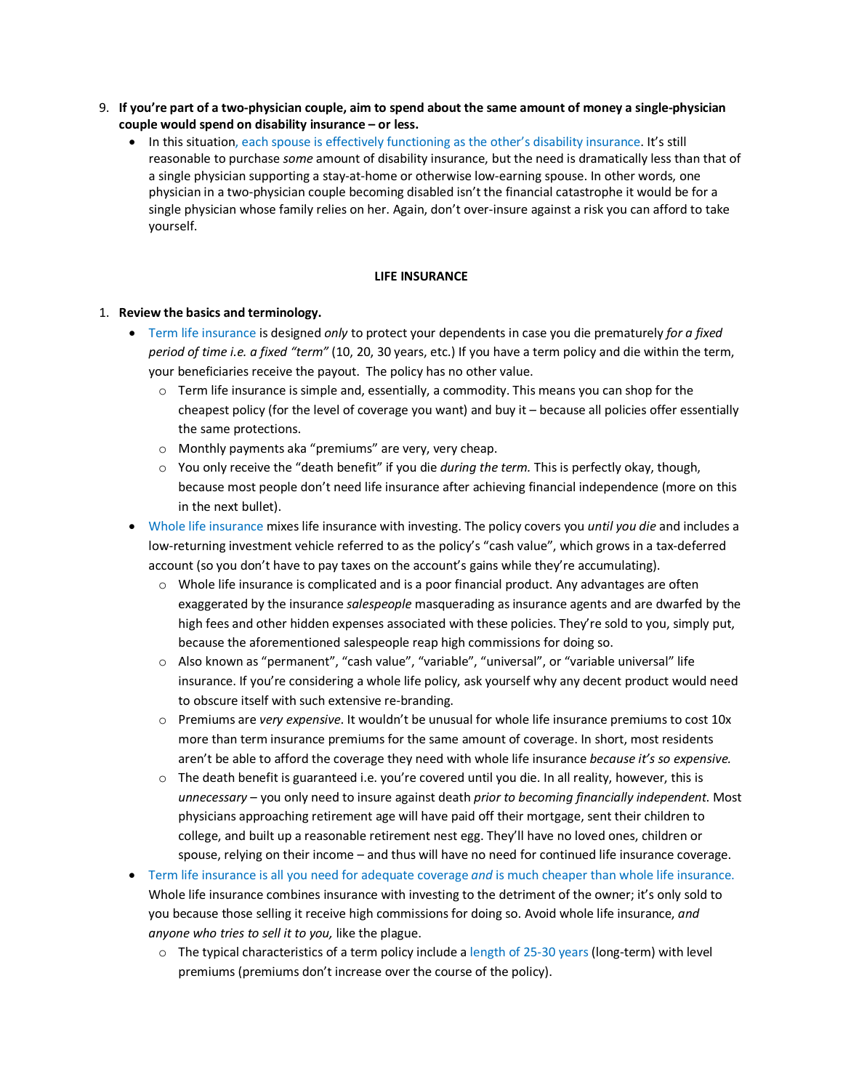- 9. **If you're part of a two-physician couple, aim to spend about the same amount of money a single-physician couple would spend on disability insurance – or less.** 
	- In this situation, each spouse is effectively functioning as the other's disability insurance. It's still reasonable to purchase *some* amount of disability insurance, but the need is dramatically less than that of a single physician supporting a stay-at-home or otherwise low-earning spouse. In other words, one physician in a two-physician couple becoming disabled isn't the financial catastrophe it would be for a single physician whose family relies on her. Again, don't over-insure against a risk you can afford to take yourself.

# **LIFE INSURANCE**

#### 1. **Review the basics and terminology.**

- Term life insurance is designed *only* to protect your dependents in case you die prematurely *for a fixed period of time i.e. a fixed "term"* (10, 20, 30 years, etc.) If you have a term policy and die within the term, your beneficiaries receive the payout. The policy has no other value.
	- $\circ$  Term life insurance is simple and, essentially, a commodity. This means you can shop for the cheapest policy (for the level of coverage you want) and buy it – because all policies offer essentially the same protections.
	- o Monthly payments aka "premiums" are very, very cheap.
	- o You only receive the "death benefit" if you die *during the term.* This is perfectly okay, though, because most people don't need life insurance after achieving financial independence (more on this in the next bullet).
- Whole life insurance mixes life insurance with investing. The policy covers you *until you die* and includes a low-returning investment vehicle referred to as the policy's "cash value", which grows in a tax-deferred account (so you don't have to pay taxes on the account's gains while they're accumulating).
	- $\circ$  Whole life insurance is complicated and is a poor financial product. Any advantages are often exaggerated by the insurance *salespeople* masquerading as insurance agents and are dwarfed by the high fees and other hidden expenses associated with these policies. They're sold to you, simply put, because the aforementioned salespeople reap high commissions for doing so.
	- o Also known as "permanent", "cash value", "variable", "universal", or "variable universal" life insurance. If you're considering a whole life policy, ask yourself why any decent product would need to obscure itself with such extensive re-branding.
	- o Premiums are *very expensive*. It wouldn't be unusual for whole life insurance premiums to cost 10x more than term insurance premiums for the same amount of coverage. In short, most residents aren't be able to afford the coverage they need with whole life insurance *because it's so expensive.*
	- $\circ$  The death benefit is guaranteed i.e. you're covered until you die. In all reality, however, this is *unnecessary* – you only need to insure against death *prior to becoming financially independent*. Most physicians approaching retirement age will have paid off their mortgage, sent their children to college, and built up a reasonable retirement nest egg. They'll have no loved ones, children or spouse, relying on their income – and thus will have no need for continued life insurance coverage.
- Term life insurance is all you need for adequate coverage *and* is much cheaper than whole life insurance. Whole life insurance combines insurance with investing to the detriment of the owner; it's only sold to you because those selling it receive high commissions for doing so. Avoid whole life insurance, *and anyone who tries to sell it to you,* like the plague.
	- o The typical characteristics of a term policy include a length of 25-30 years (long-term) with level premiums (premiums don't increase over the course of the policy).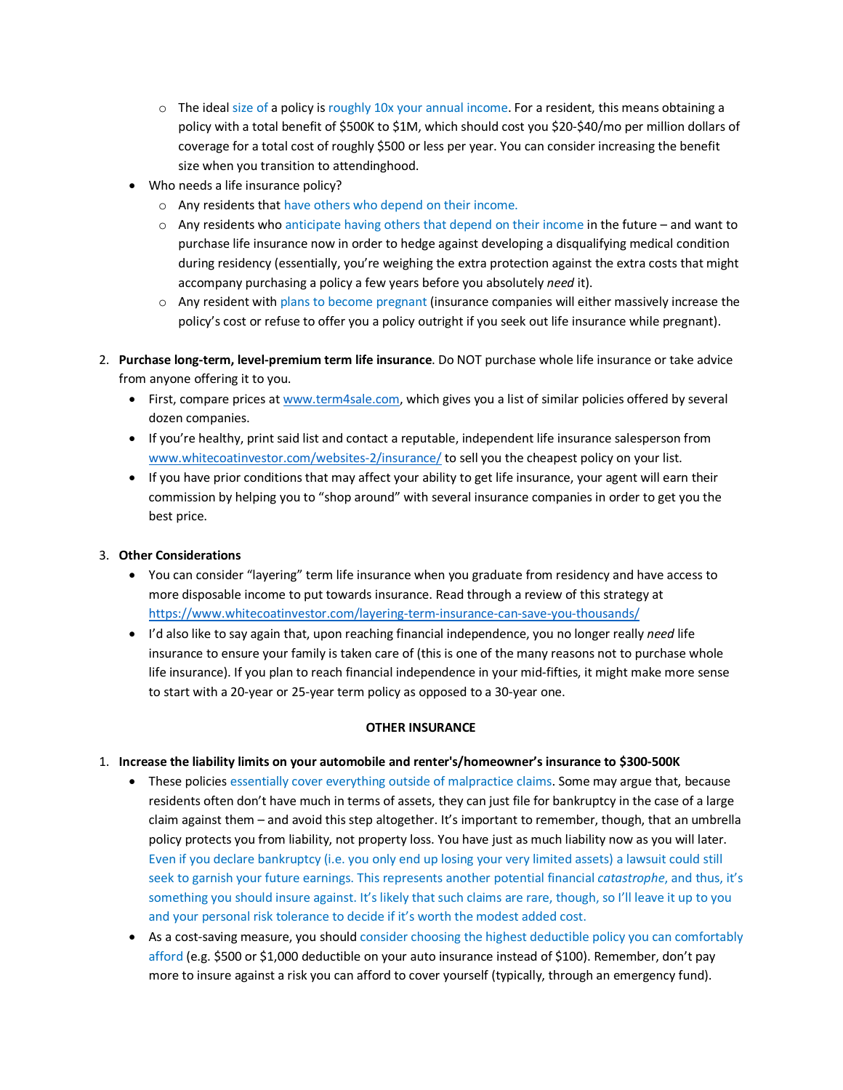- $\circ$  The ideal size of a policy is roughly 10x your annual income. For a resident, this means obtaining a policy with a total benefit of \$500K to \$1M, which should cost you \$20-\$40/mo per million dollars of coverage for a total cost of roughly \$500 or less per year. You can consider increasing the benefit size when you transition to attendinghood.
- Who needs a life insurance policy?
	- o Any residents that have others who depend on their income.
	- $\circ$  Any residents who anticipate having others that depend on their income in the future and want to purchase life insurance now in order to hedge against developing a disqualifying medical condition during residency (essentially, you're weighing the extra protection against the extra costs that might accompany purchasing a policy a few years before you absolutely *need* it).
	- o Any resident with plans to become pregnant (insurance companies will either massively increase the policy's cost or refuse to offer you a policy outright if you seek out life insurance while pregnant).
- 2. **Purchase long-term, level-premium term life insurance**. Do NOT purchase whole life insurance or take advice from anyone offering it to you.
	- First, compare prices a[t www.term4sale.com,](http://www.term4sale.com/) which gives you a list of similar policies offered by several dozen companies.
	- If you're healthy, print said list and contact a reputable, independent life insurance salesperson from [www.whitecoatinvestor.com/websites-2/insurance/](http://www.whitecoatinvestor.com/websites-2/insurance/) to sell you the cheapest policy on your list.
	- If you have prior conditions that may affect your ability to get life insurance, your agent will earn their commission by helping you to "shop around" with several insurance companies in order to get you the best price.

# 3. **Other Considerations**

- You can consider "layering" term life insurance when you graduate from residency and have access to more disposable income to put towards insurance. Read through a review of this strategy at <https://www.whitecoatinvestor.com/layering-term-insurance-can-save-you-thousands/>
- I'd also like to say again that, upon reaching financial independence, you no longer really *need* life insurance to ensure your family is taken care of (this is one of the many reasons not to purchase whole life insurance). If you plan to reach financial independence in your mid-fifties, it might make more sense to start with a 20-year or 25-year term policy as opposed to a 30-year one.

# **OTHER INSURANCE**

- 1. **Increase the liability limits on your automobile and renter's/homeowner's insurance to \$300-500K**
	- These policies essentially cover everything outside of malpractice claims. Some may argue that, because residents often don't have much in terms of assets, they can just file for bankruptcy in the case of a large claim against them – and avoid this step altogether. It's important to remember, though, that an umbrella policy protects you from liability, not property loss. You have just as much liability now as you will later. Even if you declare bankruptcy (i.e. you only end up losing your very limited assets) a lawsuit could still seek to garnish your future earnings. This represents another potential financial *catastrophe*, and thus, it's something you should insure against. It's likely that such claims are rare, though, so I'll leave it up to you and your personal risk tolerance to decide if it's worth the modest added cost.
	- As a cost-saving measure, you should consider choosing the highest deductible policy you can comfortably afford (e.g. \$500 or \$1,000 deductible on your auto insurance instead of \$100). Remember, don't pay more to insure against a risk you can afford to cover yourself (typically, through an emergency fund).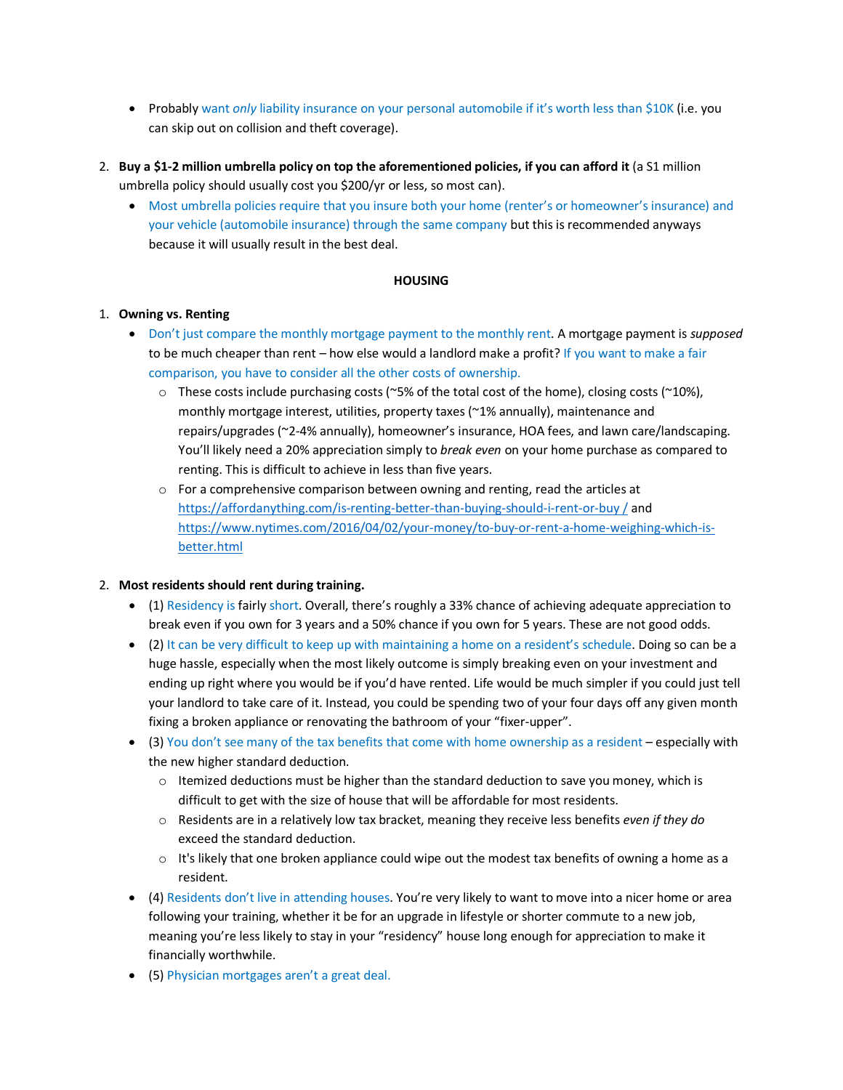- Probably want *only* liability insurance on your personal automobile if it's worth less than \$10K (i.e. you can skip out on collision and theft coverage).
- 2. **Buy a \$1-2 million umbrella policy on top the aforementioned policies, if you can afford it** (a S1 million umbrella policy should usually cost you \$200/yr or less, so most can).
	- Most umbrella policies require that you insure both your home (renter's or homeowner's insurance) and your vehicle (automobile insurance) through the same company but this is recommended anyways because it will usually result in the best deal.

# **HOUSING**

# 1. **Owning vs. Renting**

- Don't just compare the monthly mortgage payment to the monthly rent. A mortgage payment is *supposed*  to be much cheaper than rent – how else would a landlord make a profit? If you want to make a fair comparison, you have to consider all the other costs of ownership.
	- $\circ$  These costs include purchasing costs (~5% of the total cost of the home), closing costs (~10%), monthly mortgage interest, utilities, property taxes (~1% annually), maintenance and repairs/upgrades (~2-4% annually), homeowner's insurance, HOA fees, and lawn care/landscaping. You'll likely need a 20% appreciation simply to *break even* on your home purchase as compared to renting. This is difficult to achieve in less than five years.
	- $\circ$  For a comprehensive comparison between owning and renting, read the articles at [https://affordanything.com/is-renting-better-than-buying-should-i-rent-or-buy /](https://affordanything.com/is-renting-better-than-buying-should-i-rent-or-buy%20/) and [https://www.nytimes.com/2016/04/02/your-money/to-buy-or-rent-a-home-weighing-which-is](https://www.nytimes.com/2016/04/02/your-money/to-buy-or-rent-a-home-weighing-which-is-better.html)[better.html](https://www.nytimes.com/2016/04/02/your-money/to-buy-or-rent-a-home-weighing-which-is-better.html)

# 2. **Most residents should rent during training.**

- (1) Residency is fairly short. Overall, there's roughly a 33% chance of achieving adequate appreciation to break even if you own for 3 years and a 50% chance if you own for 5 years. These are not good odds.
- (2) It can be very difficult to keep up with maintaining a home on a resident's schedule. Doing so can be a huge hassle, especially when the most likely outcome is simply breaking even on your investment and ending up right where you would be if you'd have rented. Life would be much simpler if you could just tell your landlord to take care of it. Instead, you could be spending two of your four days off any given month fixing a broken appliance or renovating the bathroom of your "fixer-upper".
- (3) You don't see many of the tax benefits that come with home ownership as a resident especially with the new higher standard deduction.
	- $\circ$  Itemized deductions must be higher than the standard deduction to save you money, which is difficult to get with the size of house that will be affordable for most residents.
	- o Residents are in a relatively low tax bracket, meaning they receive less benefits *even if they do* exceed the standard deduction.
	- $\circ$  It's likely that one broken appliance could wipe out the modest tax benefits of owning a home as a resident.
- (4) Residents don't live in attending houses. You're very likely to want to move into a nicer home or area following your training, whether it be for an upgrade in lifestyle or shorter commute to a new job, meaning you're less likely to stay in your "residency" house long enough for appreciation to make it financially worthwhile.
- (5) Physician mortgages aren't a great deal.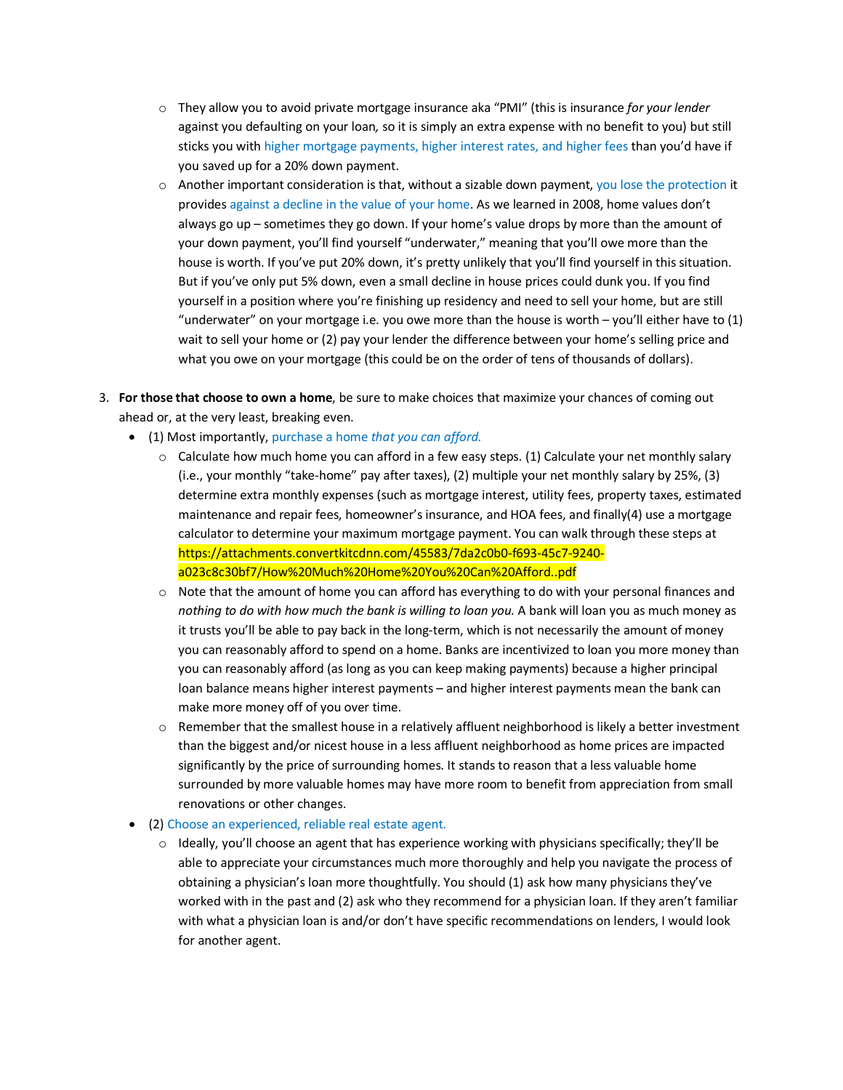- o They allow you to avoid private mortgage insurance aka "PMI" (this is insurance *for your lender* against you defaulting on your loan*,* so it is simply an extra expense with no benefit to you) but still sticks you with higher mortgage payments, higher interest rates, and higher fees than you'd have if you saved up for a 20% down payment.
- o Another important consideration is that, without a sizable down payment, you lose the protection it provides against a decline in the value of your home. As we learned in 2008, home values don't always go up – sometimes they go down. If your home's value drops by more than the amount of your down payment, you'll find yourself "underwater," meaning that you'll owe more than the house is worth. If you've put 20% down, it's pretty unlikely that you'll find yourself in this situation. But if you've only put 5% down, even a small decline in house prices could dunk you. If you find yourself in a position where you're finishing up residency and need to sell your home, but are still "underwater" on your mortgage i.e. you owe more than the house is worth  $-$  you'll either have to  $(1)$ wait to sell your home or (2) pay your lender the difference between your home's selling price and what you owe on your mortgage (this could be on the order of tens of thousands of dollars).
- 3. **For those that choose to own a home**, be sure to make choices that maximize your chances of coming out ahead or, at the very least, breaking even.
	- (1) Most importantly, purchase a home *that you can afford.*
		- $\circ$  Calculate how much home you can afford in a few easy steps. (1) Calculate your net monthly salary (i.e., your monthly "take-home" pay after taxes), (2) multiple your net monthly salary by 25%, (3) determine extra monthly expenses (such as mortgage interest, utility fees, property taxes, estimated maintenance and repair fees, homeowner's insurance, and HOA fees, and finally(4) use a mortgage calculator to determine your maximum mortgage payment. You can walk through these steps at [https://attachments.convertkitcdnn.com/45583/7da2c0b0-f693-45c7-9240](https://attachments.convertkitcdnn.com/45583/7da2c0b0-f693-45c7-9240-a023c8c30bf7/How%20Much%20Home%20You%20Can%20Afford..pdf) [a023c8c30bf7/How%20Much%20Home%20You%20Can%20Afford..pdf](https://attachments.convertkitcdnn.com/45583/7da2c0b0-f693-45c7-9240-a023c8c30bf7/How%20Much%20Home%20You%20Can%20Afford..pdf)
		- $\circ$  Note that the amount of home you can afford has everything to do with your personal finances and *nothing to do with how much the bank is willing to loan you.* A bank will loan you as much money as it trusts you'll be able to pay back in the long-term, which is not necessarily the amount of money you can reasonably afford to spend on a home. Banks are incentivized to loan you more money than you can reasonably afford (as long as you can keep making payments) because a higher principal loan balance means higher interest payments – and higher interest payments mean the bank can make more money off of you over time.
		- $\circ$  Remember that the smallest house in a relatively affluent neighborhood is likely a better investment than the biggest and/or nicest house in a less affluent neighborhood as home prices are impacted significantly by the price of surrounding homes. It stands to reason that a less valuable home surrounded by more valuable homes may have more room to benefit from appreciation from small renovations or other changes.
	- (2) Choose an experienced, reliable real estate agent.
		- $\circ$  Ideally, you'll choose an agent that has experience working with physicians specifically; they'll be able to appreciate your circumstances much more thoroughly and help you navigate the process of obtaining a physician's loan more thoughtfully. You should (1) ask how many physicians they've worked with in the past and (2) ask who they recommend for a physician loan. If they aren't familiar with what a physician loan is and/or don't have specific recommendations on lenders, I would look for another agent.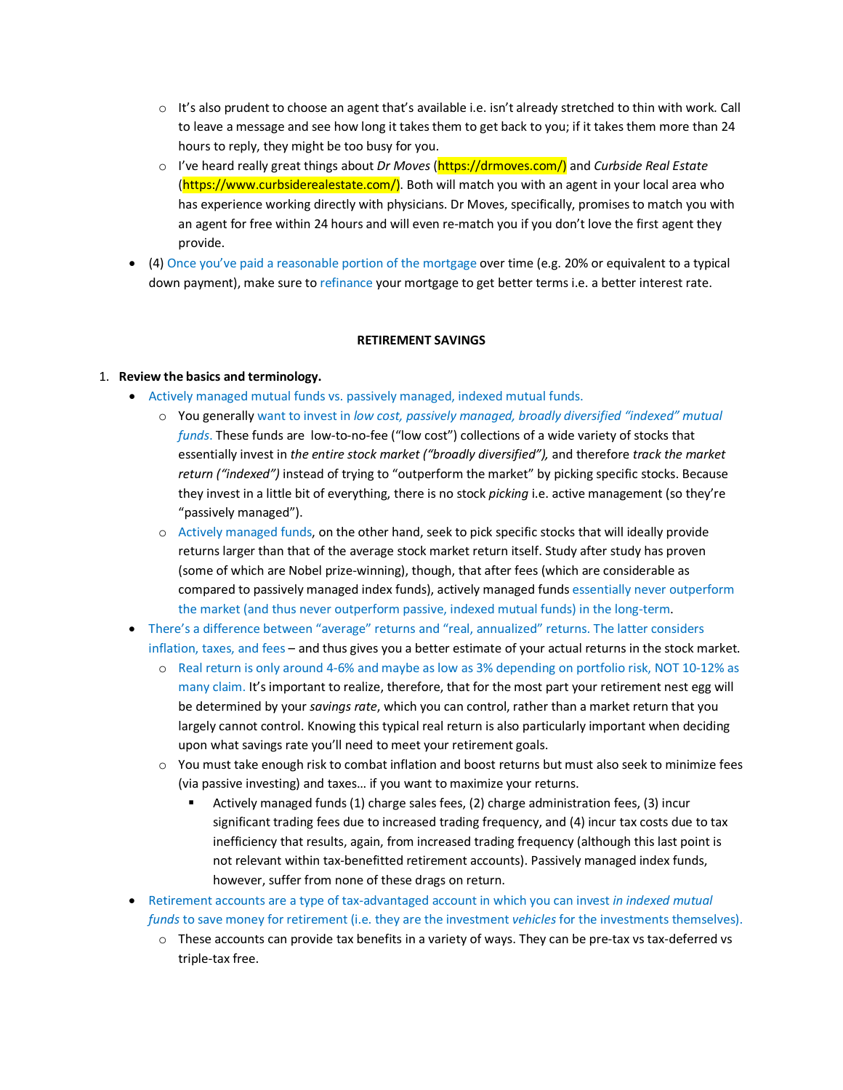- $\circ$  It's also prudent to choose an agent that's available i.e. isn't already stretched to thin with work. Call to leave a message and see how long it takes them to get back to you; if it takes them more than 24 hours to reply, they might be too busy for you.
- o I've heard really great things about *Dr Moves* (https://drmoves.com/) and *Curbside Real Estate* [\(https://www.curbsiderealestate.com/\)](https://www.curbsiderealestate.com/). Both will match you with an agent in your local area who has experience working directly with physicians. Dr Moves, specifically, promises to match you with an agent for free within 24 hours and will even re-match you if you don't love the first agent they provide.
- (4) Once you've paid a reasonable portion of the mortgage over time (e.g. 20% or equivalent to a typical down payment), make sure to refinance your mortgage to get better terms i.e. a better interest rate.

# **RETIREMENT SAVINGS**

### 1. **Review the basics and terminology.**

- Actively managed mutual funds vs. passively managed, indexed mutual funds.
	- o You generally want to invest in *low cost, passively managed, broadly diversified "indexed" mutual funds*. These funds are low-to-no-fee ("low cost") collections of a wide variety of stocks that essentially invest in *the entire stock market ("broadly diversified"),* and therefore *track the market return ("indexed")* instead of trying to "outperform the market" by picking specific stocks. Because they invest in a little bit of everything, there is no stock *picking* i.e. active management (so they're "passively managed").
	- o Actively managed funds, on the other hand, seek to pick specific stocks that will ideally provide returns larger than that of the average stock market return itself. Study after study has proven (some of which are Nobel prize-winning), though, that after fees (which are considerable as compared to passively managed index funds), actively managed funds essentially never outperform the market (and thus never outperform passive, indexed mutual funds) in the long-term.
- There's a difference between "average" returns and "real, annualized" returns. The latter considers inflation, taxes, and fees – and thus gives you a better estimate of your actual returns in the stock market.
	- o Real return is only around 4-6% and maybe as low as 3% depending on portfolio risk, NOT 10-12% as many claim. It's important to realize, therefore, that for the most part your retirement nest egg will be determined by your *savings rate*, which you can control, rather than a market return that you largely cannot control. Knowing this typical real return is also particularly important when deciding upon what savings rate you'll need to meet your retirement goals.
	- o You must take enough risk to combat inflation and boost returns but must also seek to minimize fees (via passive investing) and taxes… if you want to maximize your returns.
		- Actively managed funds (1) charge sales fees, (2) charge administration fees, (3) incur significant trading fees due to increased trading frequency, and (4) incur tax costs due to tax inefficiency that results, again, from increased trading frequency (although this last point is not relevant within tax-benefitted retirement accounts). Passively managed index funds, however, suffer from none of these drags on return.
- Retirement accounts are a type of tax-advantaged account in which you can invest *in indexed mutual funds* to save money for retirement (i.e. they are the investment *vehicles* for the investments themselves).
	- $\circ$  These accounts can provide tax benefits in a variety of ways. They can be pre-tax vs tax-deferred vs triple-tax free.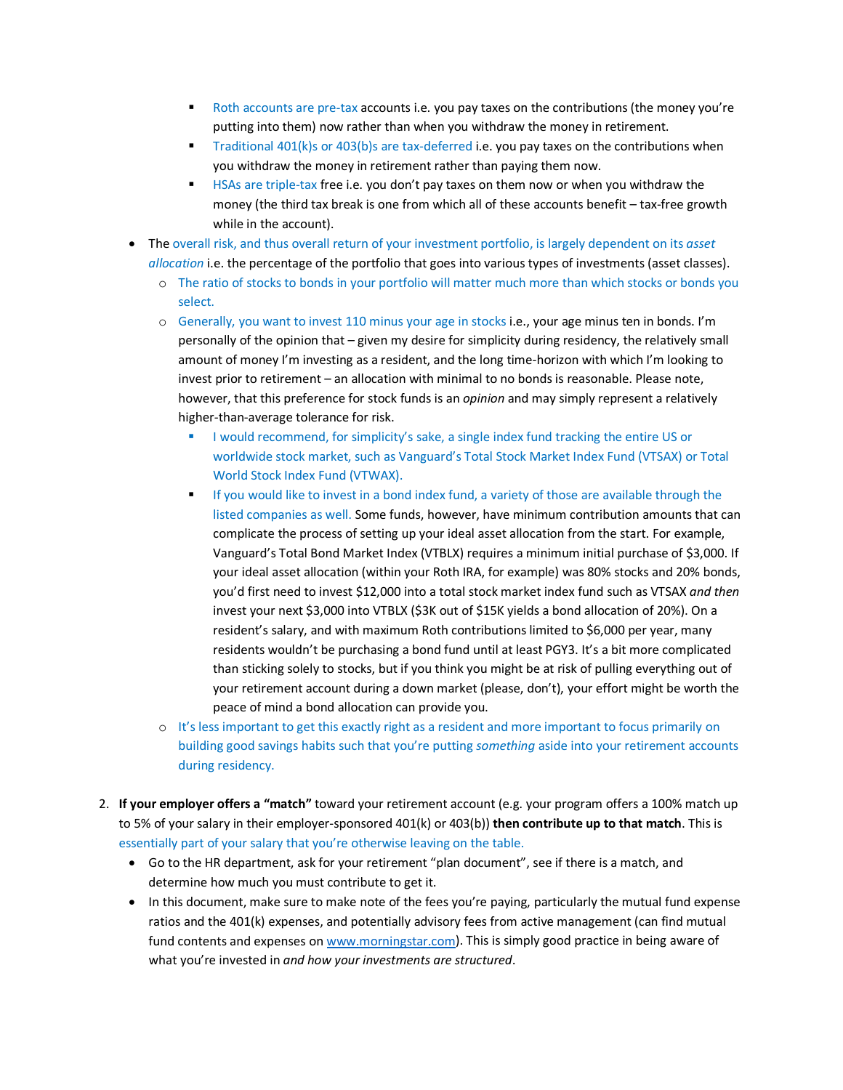- Roth accounts are pre-tax accounts i.e. you pay taxes on the contributions (the money you're putting into them) now rather than when you withdraw the money in retirement.
- **Traditional 401(k)s or 403(b)s are tax-deferred i.e. you pay taxes on the contributions when** you withdraw the money in retirement rather than paying them now.
- HSAs are triple-tax free i.e. you don't pay taxes on them now or when you withdraw the money (the third tax break is one from which all of these accounts benefit – tax-free growth while in the account).
- The overall risk, and thus overall return of your investment portfolio, is largely dependent on its *asset allocation* i.e. the percentage of the portfolio that goes into various types of investments (asset classes).
	- o The ratio of stocks to bonds in your portfolio will matter much more than which stocks or bonds you select.
	- o Generally, you want to invest 110 minus your age in stocks i.e., your age minus ten in bonds. I'm personally of the opinion that – given my desire for simplicity during residency, the relatively small amount of money I'm investing as a resident, and the long time-horizon with which I'm looking to invest prior to retirement – an allocation with minimal to no bonds is reasonable. Please note, however, that this preference for stock funds is an *opinion* and may simply represent a relatively higher-than-average tolerance for risk.
		- I would recommend, for simplicity's sake, a single index fund tracking the entire US or worldwide stock market, such as Vanguard's Total Stock Market Index Fund (VTSAX) or Total World Stock Index Fund (VTWAX).
		- If you would like to invest in a bond index fund, a variety of those are available through the listed companies as well. Some funds, however, have minimum contribution amounts that can complicate the process of setting up your ideal asset allocation from the start. For example, Vanguard's Total Bond Market Index (VTBLX) requires a minimum initial purchase of \$3,000. If your ideal asset allocation (within your Roth IRA, for example) was 80% stocks and 20% bonds, you'd first need to invest \$12,000 into a total stock market index fund such as VTSAX *and then* invest your next \$3,000 into VTBLX (\$3K out of \$15K yields a bond allocation of 20%). On a resident's salary, and with maximum Roth contributions limited to \$6,000 per year, many residents wouldn't be purchasing a bond fund until at least PGY3. It's a bit more complicated than sticking solely to stocks, but if you think you might be at risk of pulling everything out of your retirement account during a down market (please, don't), your effort might be worth the peace of mind a bond allocation can provide you.
	- o It's less important to get this exactly right as a resident and more important to focus primarily on building good savings habits such that you're putting *something* aside into your retirement accounts during residency.
- 2. **If your employer offers a "match"** toward your retirement account (e.g. your program offers a 100% match up to 5% of your salary in their employer-sponsored 401(k) or 403(b)) **then contribute up to that match**. This is essentially part of your salary that you're otherwise leaving on the table.
	- Go to the HR department, ask for your retirement "plan document", see if there is a match, and determine how much you must contribute to get it.
	- In this document, make sure to make note of the fees you're paying, particularly the mutual fund expense ratios and the 401(k) expenses, and potentially advisory fees from active management (can find mutual fund contents and expenses o[n www.morningstar.com\)](http://www.morningstar.com/). This is simply good practice in being aware of what you're invested in *and how your investments are structured*.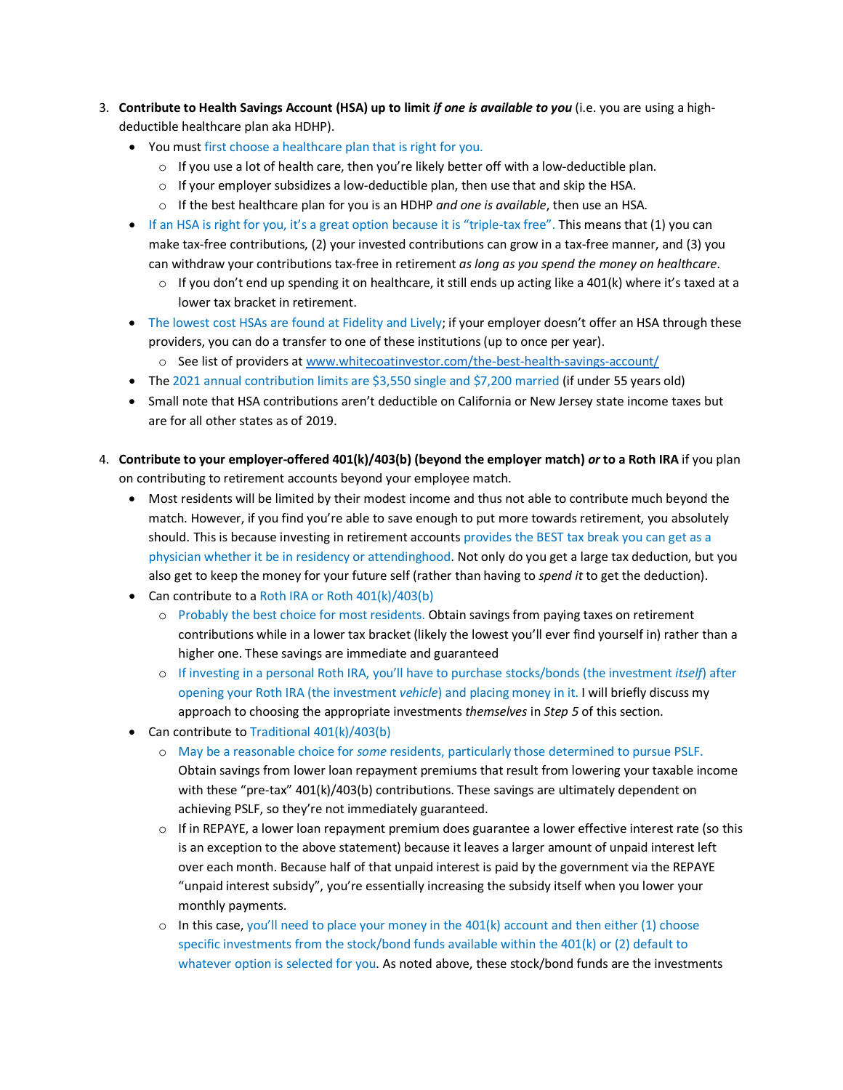- 3. **Contribute to Health Savings Account (HSA) up to limit** *if one is available to you* (i.e. you are using a highdeductible healthcare plan aka HDHP).
	- You must first choose a healthcare plan that is right for you.
		- $\circ$  If you use a lot of health care, then you're likely better off with a low-deductible plan.
		- $\circ$  If your employer subsidizes a low-deductible plan, then use that and skip the HSA.
		- o If the best healthcare plan for you is an HDHP *and one is available*, then use an HSA.
	- If an HSA is right for you, it's a great option because it is "triple-tax free". This means that (1) you can make tax-free contributions, (2) your invested contributions can grow in a tax-free manner, and (3) you can withdraw your contributions tax-free in retirement *as long as you spend the money on healthcare*.
		- $\circ$  If you don't end up spending it on healthcare, it still ends up acting like a 401(k) where it's taxed at a lower tax bracket in retirement.
	- The lowest cost HSAs are found at Fidelity and Lively; if your employer doesn't offer an HSA through these providers, you can do a transfer to one of these institutions (up to once per year).
		- o See list of providers a[t www.whitecoatinvestor.com/the-best-health-savings-account/](http://www.whitecoatinvestor.com/the-best-health-savings-account/)
	- The 2021 annual contribution limits are \$3,550 single and \$7,200 married (if under 55 years old)
	- Small note that HSA contributions aren't deductible on California or New Jersey state income taxes but are for all other states as of 2019.
- 4. **Contribute to your employer-offered 401(k)/403(b) (beyond the employer match)** *or* **to a Roth IRA** if you plan on contributing to retirement accounts beyond your employee match.
	- Most residents will be limited by their modest income and thus not able to contribute much beyond the match. However, if you find you're able to save enough to put more towards retirement, you absolutely should. This is because investing in retirement accounts provides the BEST tax break you can get as a physician whether it be in residency or attendinghood. Not only do you get a large tax deduction, but you also get to keep the money for your future self (rather than having to *spend it* to get the deduction).
	- Can contribute to a Roth IRA or Roth 401(k)/403(b)
		- o Probably the best choice for most residents. Obtain savings from paying taxes on retirement contributions while in a lower tax bracket (likely the lowest you'll ever find yourself in) rather than a higher one. These savings are immediate and guaranteed
		- o If investing in a personal Roth IRA, you'll have to purchase stocks/bonds (the investment *itself*) after opening your Roth IRA (the investment *vehicle*) and placing money in it. I will briefly discuss my approach to choosing the appropriate investments *themselves* in *Step 5* of this section.
	- Can contribute to Traditional 401(k)/403(b)
		- o May be a reasonable choice for *some* residents, particularly those determined to pursue PSLF. Obtain savings from lower loan repayment premiums that result from lowering your taxable income with these "pre-tax" 401(k)/403(b) contributions. These savings are ultimately dependent on achieving PSLF, so they're not immediately guaranteed.
		- $\circ$  If in REPAYE, a lower loan repayment premium does guarantee a lower effective interest rate (so this is an exception to the above statement) because it leaves a larger amount of unpaid interest left over each month. Because half of that unpaid interest is paid by the government via the REPAYE "unpaid interest subsidy", you're essentially increasing the subsidy itself when you lower your monthly payments.
		- $\circ$  In this case, you'll need to place your money in the 401(k) account and then either (1) choose specific investments from the stock/bond funds available within the 401(k) or (2) default to whatever option is selected for you. As noted above, these stock/bond funds are the investments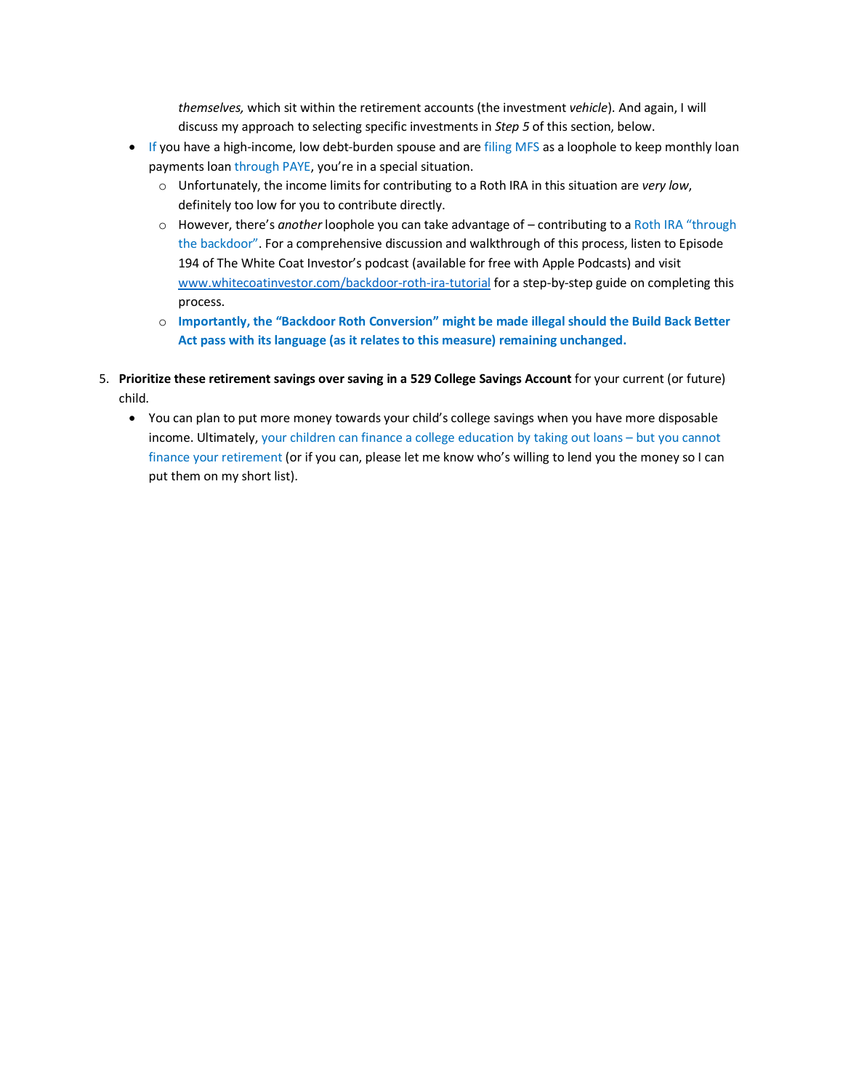*themselves,* which sit within the retirement accounts (the investment *vehicle*). And again, I will discuss my approach to selecting specific investments in *Step 5* of this section, below.

- If you have a high-income, low debt-burden spouse and are filing MFS as a loophole to keep monthly loan payments loan through PAYE, you're in a special situation.
	- o Unfortunately, the income limits for contributing to a Roth IRA in this situation are *very low*, definitely too low for you to contribute directly.
	- o However, there's *another* loophole you can take advantage of contributing to a Roth IRA "through the backdoor". For a comprehensive discussion and walkthrough of this process, listen to Episode 194 of The White Coat Investor's podcast (available for free with Apple Podcasts) and visit [www.whitecoatinvestor.com/backdoor-roth-ira-tutorial](http://www.whitecoatinvestor.com/backdoor-roth-ira-tutorial) for a step-by-step guide on completing this process.
	- o **Importantly, the "Backdoor Roth Conversion" might be made illegal should the Build Back Better Act pass with its language (as it relates to this measure) remaining unchanged.**
- 5. **Prioritize these retirement savings over saving in a 529 College Savings Account** for your current (or future) child.
	- You can plan to put more money towards your child's college savings when you have more disposable income. Ultimately, your children can finance a college education by taking out loans – but you cannot finance your retirement (or if you can, please let me know who's willing to lend you the money so I can put them on my short list).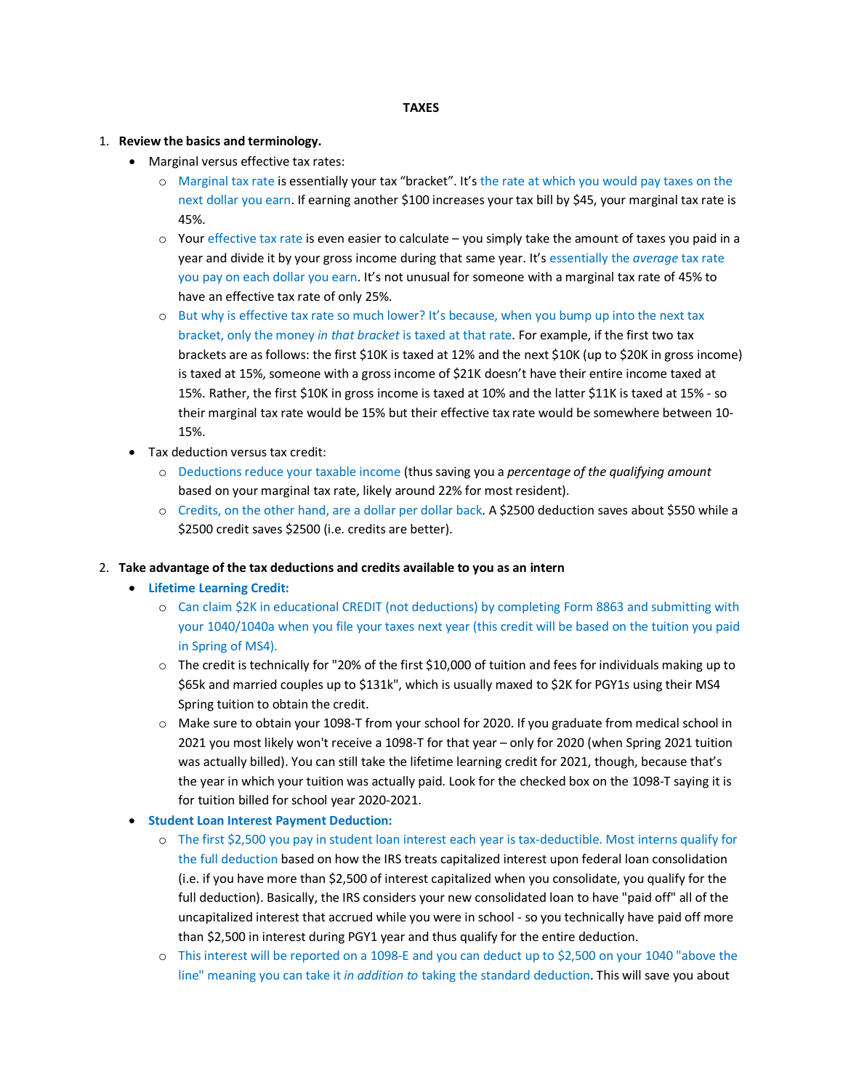#### **TAXES**

#### 1. **Review the basics and terminology.**

- Marginal versus effective tax rates:
	- o Marginal tax rate is essentially your tax "bracket". It's the rate at which you would pay taxes on the next dollar you earn. If earning another \$100 increases your tax bill by \$45, your marginal tax rate is 45%.
	- $\circ$  Your effective tax rate is even easier to calculate you simply take the amount of taxes you paid in a year and divide it by your gross income during that same year. It's essentially the *average* tax rate you pay on each dollar you earn. It's not unusual for someone with a marginal tax rate of 45% to have an effective tax rate of only 25%.
	- o But why is effective tax rate so much lower? It's because, when you bump up into the next tax bracket, only the money *in that bracket* is taxed at that rate. For example, if the first two tax brackets are as follows: the first \$10K is taxed at 12% and the next \$10K (up to \$20K in gross income) is taxed at 15%, someone with a gross income of \$21K doesn't have their entire income taxed at 15%. Rather, the first \$10K in gross income is taxed at 10% and the latter \$11K is taxed at 15% - so their marginal tax rate would be 15% but their effective tax rate would be somewhere between 10- 15%.
- Tax deduction versus tax credit:
	- o Deductions reduce your taxable income (thus saving you a *percentage of the qualifying amount* based on your marginal tax rate, likely around 22% for most resident).
	- o Credits, on the other hand, are a dollar per dollar back. A \$2500 deduction saves about \$550 while a \$2500 credit saves \$2500 (i.e. credits are better).

#### 2. **Take advantage of the tax deductions and credits available to you as an intern**

- **Lifetime Learning Credit:**
	- o Can claim \$2K in educational CREDIT (not deductions) by completing Form 8863 and submitting with your 1040/1040a when you file your taxes next year (this credit will be based on the tuition you paid in Spring of MS4).
	- $\circ$  The credit is technically for "20% of the first \$10,000 of tuition and fees for individuals making up to \$65k and married couples up to \$131k", which is usually maxed to \$2K for PGY1s using their MS4 Spring tuition to obtain the credit.
	- o Make sure to obtain your 1098-T from your school for 2020. If you graduate from medical school in 2021 you most likely won't receive a 1098-T for that year – only for 2020 (when Spring 2021 tuition was actually billed). You can still take the lifetime learning credit for 2021, though, because that's the year in which your tuition was actually paid. Look for the checked box on the 1098-T saying it is for tuition billed for school year 2020-2021.
- **Student Loan Interest Payment Deduction:**
	- o The first \$2,500 you pay in student loan interest each year is tax-deductible. Most interns qualify for the full deduction based on how the IRS treats capitalized interest upon federal loan consolidation (i.e. if you have more than \$2,500 of interest capitalized when you consolidate, you qualify for the full deduction). Basically, the IRS considers your new consolidated loan to have "paid off" all of the uncapitalized interest that accrued while you were in school - so you technically have paid off more than \$2,500 in interest during PGY1 year and thus qualify for the entire deduction.
	- o This interest will be reported on a 1098-E and you can deduct up to \$2,500 on your 1040 "above the line" meaning you can take it *in addition to* taking the standard deduction. This will save you about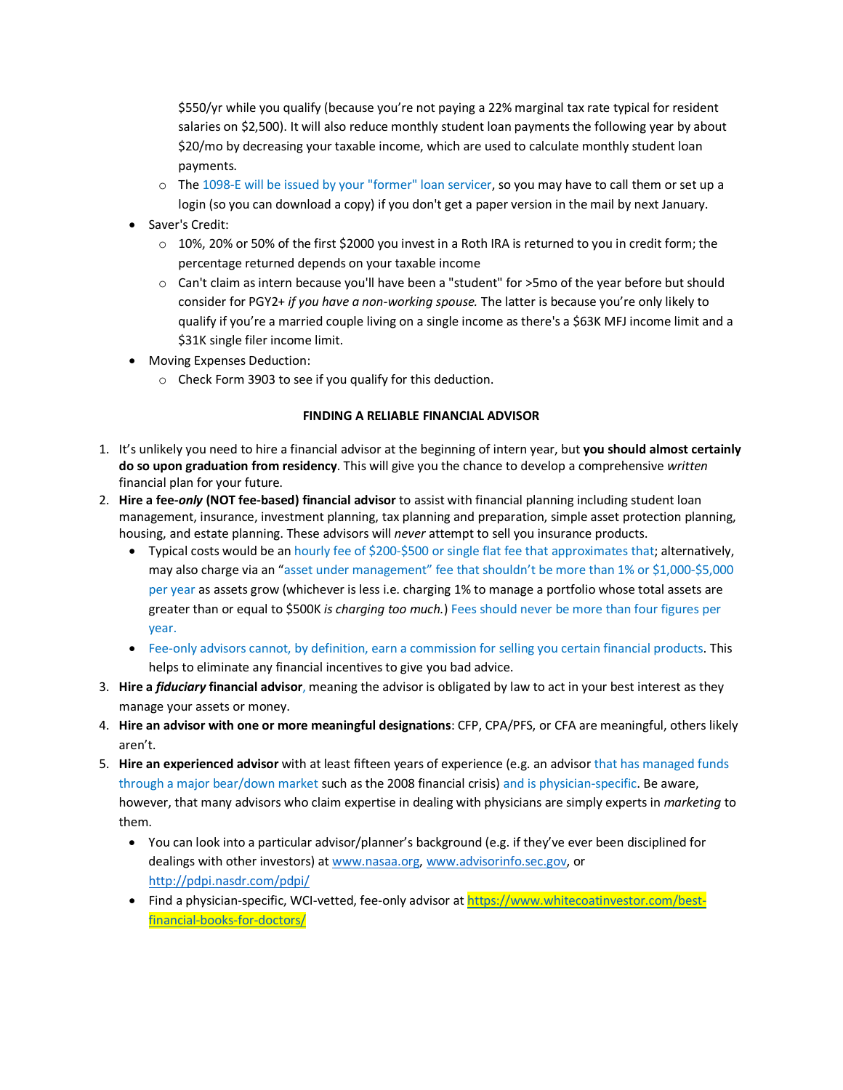\$550/yr while you qualify (because you're not paying a 22% marginal tax rate typical for resident salaries on \$2,500). It will also reduce monthly student loan payments the following year by about \$20/mo by decreasing your taxable income, which are used to calculate monthly student loan payments.

- o The 1098-E will be issued by your "former" loan servicer, so you may have to call them or set up a login (so you can download a copy) if you don't get a paper version in the mail by next January.
- Saver's Credit:
	- $\circ$  10%, 20% or 50% of the first \$2000 you invest in a Roth IRA is returned to you in credit form; the percentage returned depends on your taxable income
	- o Can't claim as intern because you'll have been a "student" for >5mo of the year before but should consider for PGY2+ *if you have a non-working spouse.* The latter is because you're only likely to qualify if you're a married couple living on a single income as there's a \$63K MFJ income limit and a \$31K single filer income limit.
- Moving Expenses Deduction:
	- o Check Form 3903 to see if you qualify for this deduction.

### **FINDING A RELIABLE FINANCIAL ADVISOR**

- 1. It's unlikely you need to hire a financial advisor at the beginning of intern year, but **you should almost certainly do so upon graduation from residency**. This will give you the chance to develop a comprehensive *written* financial plan for your future.
- 2. **Hire a fee-***only* **(NOT fee-based) financial advisor** to assist with financial planning including student loan management, insurance, investment planning, tax planning and preparation, simple asset protection planning, housing, and estate planning. These advisors will *never* attempt to sell you insurance products.
	- Typical costs would be an hourly fee of \$200-\$500 or single flat fee that approximates that; alternatively, may also charge via an "asset under management" fee that shouldn't be more than 1% or \$1,000-\$5,000 per year as assets grow (whichever is less i.e. charging 1% to manage a portfolio whose total assets are greater than or equal to \$500K *is charging too much.*) Fees should never be more than four figures per year.
	- Fee-only advisors cannot, by definition, earn a commission for selling you certain financial products. This helps to eliminate any financial incentives to give you bad advice.
- 3. **Hire a** *fiduciary* **financial advisor**, meaning the advisor is obligated by law to act in your best interest as they manage your assets or money.
- 4. **Hire an advisor with one or more meaningful designations**: CFP, CPA/PFS, or CFA are meaningful, others likely aren't.
- 5. **Hire an experienced advisor** with at least fifteen years of experience (e.g. an advisor that has managed funds through a major bear/down market such as the 2008 financial crisis) and is physician-specific. Be aware, however, that many advisors who claim expertise in dealing with physicians are simply experts in *marketing* to them.
	- You can look into a particular advisor/planner's background (e.g. if they've ever been disciplined for dealings with other investors) a[t www.nasaa.org,](http://www.nasaa.org/) [www.advisorinfo.sec.gov,](http://www.advisorinfo.sec.gov/) or <http://pdpi.nasdr.com/pdpi/>
	- Find a physician-specific, WCI-vetted, fee-only advisor at [https://www.whitecoatinvestor.com/best](https://www.whitecoatinvestor.com/best-financial-books-for-doctors/)[financial-books-for-doctors/](https://www.whitecoatinvestor.com/best-financial-books-for-doctors/)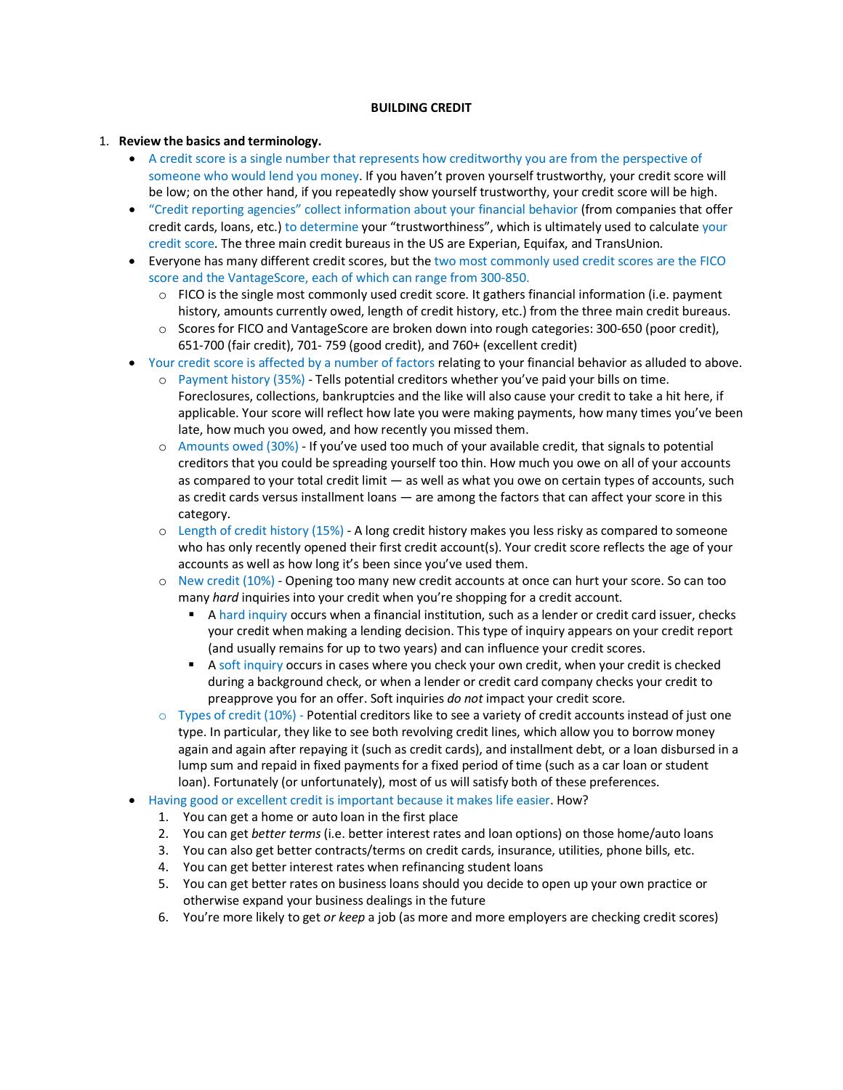### **BUILDING CREDIT**

#### 1. **Review the basics and terminology.**

- A credit score is a single number that represents how creditworthy you are from the perspective of someone who would lend you money. If you haven't proven yourself trustworthy, your credit score will be low; on the other hand, if you repeatedly show yourself trustworthy, your credit score will be high.
- "Credit reporting agencies" collect information about your financial behavior (from companies that offer credit cards, loans, etc.) to determine your "trustworthiness", which is ultimately used to calculate your credit score. The three main credit bureaus in the US are Experian, Equifax, and TransUnion.
- Everyone has many different credit scores, but the two most commonly used credit scores are the FICO score and the VantageScore, each of which can range from 300-850.
	- o FICO is the single most commonly used credit score. It gathers financial information (i.e. payment history, amounts currently owed, length of credit history, etc.) from the three main credit bureaus.
	- $\circ$  Scores for FICO and VantageScore are broken down into rough categories: 300-650 (poor credit), 651-700 (fair credit), 701- 759 (good credit), and 760+ (excellent credit)
- Your credit score is affected by a number of factors relating to your financial behavior as alluded to above.
	- o Payment history (35%) Tells potential creditors whether you've paid your bills on time. Foreclosures, collections, bankruptcies and the like will also cause your credit to take a hit here, if applicable. Your score will reflect how late you were making payments, how many times you've been late, how much you owed, and how recently you missed them.
	- o Amounts owed (30%) If you've used too much of your available credit, that signals to potential creditors that you could be spreading yourself too thin. How much you owe on all of your accounts as compared to your total credit limit — as well as what you owe on certain types of accounts, such as credit cards versus installment loans — are among the factors that can affect your score in this category.
	- o Length of credit history (15%) A long credit history makes you less risky as compared to someone who has only recently opened their first credit account(s). Your credit score reflects the age of your accounts as well as how long it's been since you've used them.
	- o New credit (10%) Opening too many new credit accounts at once can hurt your score. So can too many *hard* inquiries into your credit when you're shopping for a credit account.
		- A hard inquiry occurs when a financial institution, such as a lender or credit card issuer, checks your credit when making a lending decision. This type of inquiry appears on your credit report (and usually remains for up to two years) and can influence your credit scores.
		- A soft inquiry occurs in cases where you check your own credit, when your credit is checked during a background check, or when a lender or credit card company checks your credit to preapprove you for an offer. Soft inquiries *do not* impact your credit score.
	- $\circ$  Types of credit (10%) Potential creditors like to see a variety of credit accounts instead of just one type. In particular, they like to see both revolving credit lines, which allow you to borrow money again and again after repaying it (such as credit cards), and installment debt, or a loan disbursed in a lump sum and repaid in fixed payments for a fixed period of time (such as a car loan or student loan). Fortunately (or unfortunately), most of us will satisfy both of these preferences.
- Having good or excellent credit is important because it makes life easier. How?
	- 1. You can get a home or auto loan in the first place
	- 2. You can get *better terms* (i.e. better interest rates and loan options) on those home/auto loans
	- 3. You can also get better contracts/terms on credit cards, insurance, utilities, phone bills, etc.
	- 4. You can get better interest rates when refinancing student loans
	- 5. You can get better rates on business loans should you decide to open up your own practice or otherwise expand your business dealings in the future
	- 6. You're more likely to get *or keep* a job (as more and more employers are checking credit scores)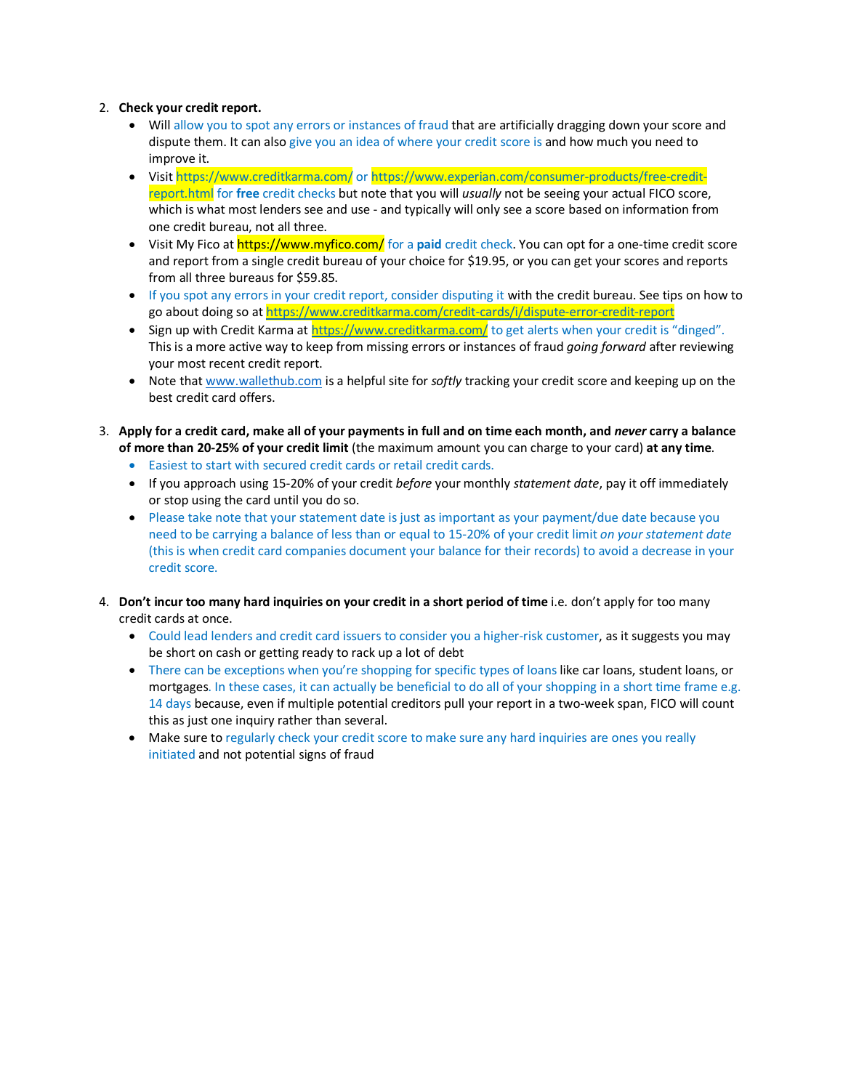# 2. **Check your credit report.**

- Will allow you to spot any errors or instances of fraud that are artificially dragging down your score and dispute them. It can also give you an idea of where your credit score is and how much you need to improve it.
- Visit https://www.creditkarma.com/ or https://www.experian.com/consumer-products/free-creditreport.html for **free** credit checks but note that you will *usually* not be seeing your actual FICO score, which is what most lenders see and use - and typically will only see a score based on information from one credit bureau, not all three.
- Visit My Fico at https://www.myfico.com/ for a **paid** credit check. You can opt for a one-time credit score and report from a single credit bureau of your choice for \$19.95, or you can get your scores and reports from all three bureaus for \$59.85.
- If you spot any errors in your credit report, consider disputing it with the credit bureau. See tips on how to go about doing so a[t https://www.creditkarma.com/credit-cards/i/dispute-error-credit-report](https://www.creditkarma.com/credit-cards/i/dispute-error-credit-report)
- Sign up with Credit Karma at<https://www.creditkarma.com/> to get alerts when your credit is "dinged". This is a more active way to keep from missing errors or instances of fraud *going forward* after reviewing your most recent credit report.
- Note tha[t www.wallethub.com](http://www.wallethub.com/) is a helpful site for *softly* tracking your credit score and keeping up on the best credit card offers.
- 3. **Apply for a credit card, make all of your payments in full and on time each month, and** *never* **carry a balance of more than 20-25% of your credit limit** (the maximum amount you can charge to your card) **at any time**.
	- Easiest to start with secured credit cards or retail credit cards.
	- If you approach using 15-20% of your credit *before* your monthly *statement date*, pay it off immediately or stop using the card until you do so.
	- Please take note that your statement date is just as important as your payment/due date because you need to be carrying a balance of less than or equal to 15-20% of your credit limit *on your statement date*  (this is when credit card companies document your balance for their records) to avoid a decrease in your credit score.
- 4. **Don't incur too many hard inquiries on your credit in a short period of time** i.e. don't apply for too many credit cards at once.
	- Could lead lenders and credit card issuers to consider you a higher-risk customer, as it suggests you may be short on cash or getting ready to rack up a lot of debt
	- There can be exceptions when you're shopping for specific types of loans like car loans, student loans, or mortgages. In these cases, it can actually be beneficial to do all of your shopping in a short time frame e.g. 14 days because, even if multiple potential creditors pull your report in a two-week span, FICO will count this as just one inquiry rather than several.
	- Make sure to regularly check your credit score to make sure any hard inquiries are ones you really initiated and not potential signs of fraud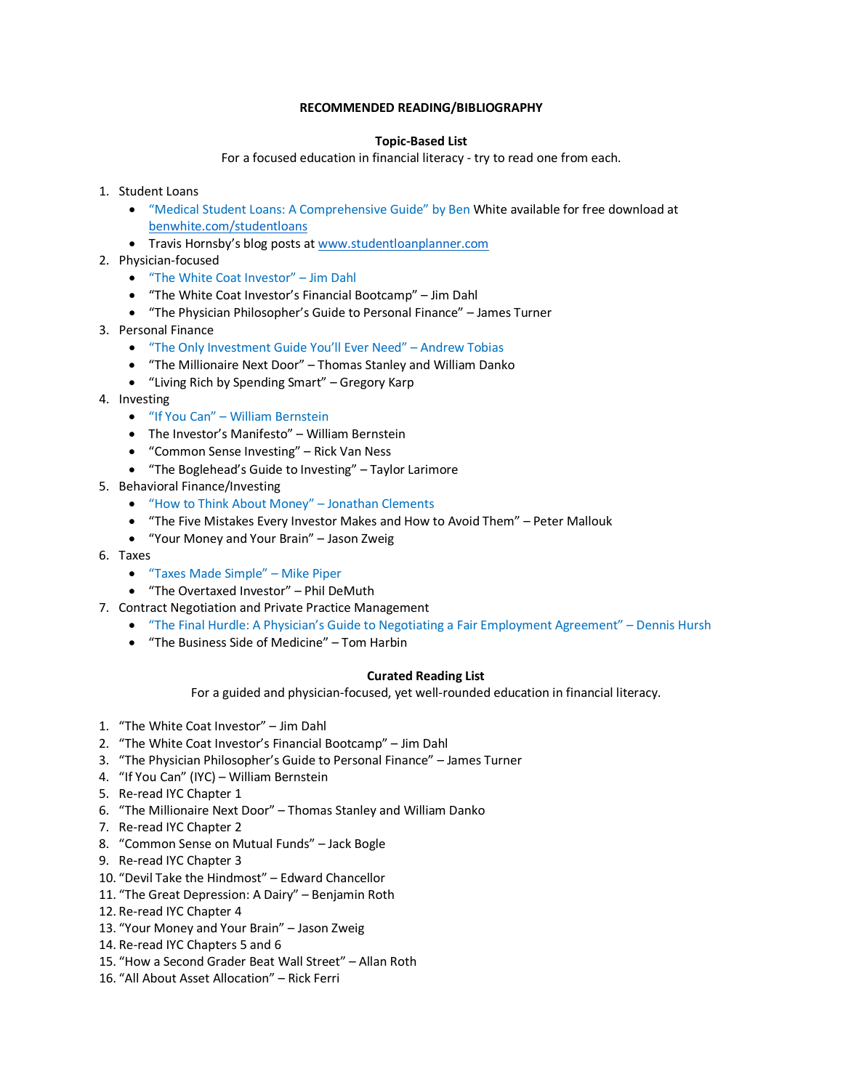## **RECOMMENDED READING/BIBLIOGRAPHY**

### **Topic-Based List**

For a focused education in financial literacy - try to read one from each.

- 1. Student Loans
	- "Medical Student Loans: A Comprehensive Guide" by Ben White available for free download at [benwhite.com/studentloans](http://benwhite.com/studentloans)
	- Travis Hornsby's blog posts at [www.studentloanplanner.com](http://www.studentloanplanner.com/)
- 2. Physician-focused
	- "The White Coat Investor" Jim Dahl
	- "The White Coat Investor's Financial Bootcamp" Jim Dahl
	- "The Physician Philosopher's Guide to Personal Finance" James Turner
- 3. Personal Finance
	- "The Only Investment Guide You'll Ever Need" Andrew Tobias
	- "The Millionaire Next Door" Thomas Stanley and William Danko
	- "Living Rich by Spending Smart" Gregory Karp
- 4. Investing
	- "If You Can" William Bernstein
	- The Investor's Manifesto" William Bernstein
	- "Common Sense Investing" Rick Van Ness
	- "The Boglehead's Guide to Investing" Taylor Larimore
- 5. Behavioral Finance/Investing
	- "How to Think About Money" Jonathan Clements
	- "The Five Mistakes Every Investor Makes and How to Avoid Them" Peter Mallouk
	- "Your Money and Your Brain" Jason Zweig
- 6. Taxes
	- "Taxes Made Simple" Mike Piper
	- "The Overtaxed Investor" Phil DeMuth
- 7. Contract Negotiation and Private Practice Management
	- "The Final Hurdle: A Physician's Guide to Negotiating a Fair Employment Agreement" Dennis Hursh
	- "The Business Side of Medicine" Tom Harbin

#### **Curated Reading List**

For a guided and physician-focused, yet well-rounded education in financial literacy.

- 1. "The White Coat Investor" Jim Dahl
- 2. "The White Coat Investor's Financial Bootcamp" Jim Dahl
- 3. "The Physician Philosopher's Guide to Personal Finance" James Turner
- 4. "If You Can" (IYC) William Bernstein
- 5. Re-read IYC Chapter 1
- 6. "The Millionaire Next Door" Thomas Stanley and William Danko
- 7. Re-read IYC Chapter 2
- 8. "Common Sense on Mutual Funds" Jack Bogle
- 9. Re-read IYC Chapter 3
- 10. "Devil Take the Hindmost" Edward Chancellor
- 11. "The Great Depression: A Dairy" Benjamin Roth
- 12. Re-read IYC Chapter 4
- 13. "Your Money and Your Brain" Jason Zweig
- 14. Re-read IYC Chapters 5 and 6
- 15. "How a Second Grader Beat Wall Street" Allan Roth
- 16. "All About Asset Allocation" Rick Ferri